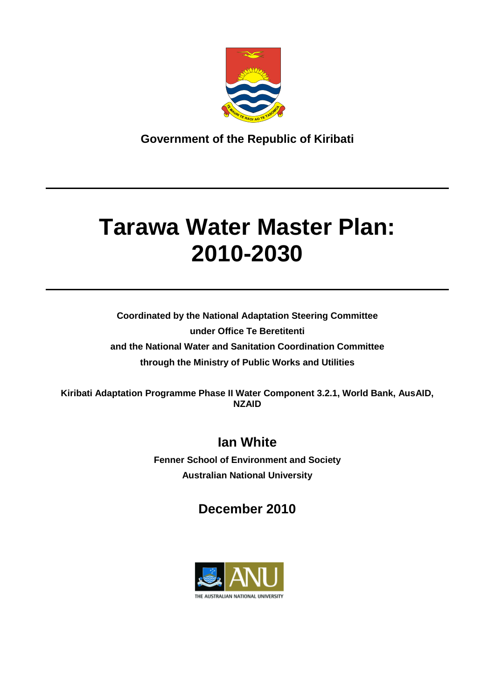

**Government of the Republic of Kiribati**

# **Tarawa Water Master Plan: 2010-2030**

**Coordinated by the National Adaptation Steering Committee under Office Te Beretitenti and the National Water and Sanitation Coordination Committee through the Ministry of Public Works and Utilities** 

**Kiribati Adaptation Programme Phase II Water Component 3.2.1, World Bank, AusAID, NZAID**

## **Ian White**

**Fenner School of Environment and Society Australian National University**

## **December 2010**

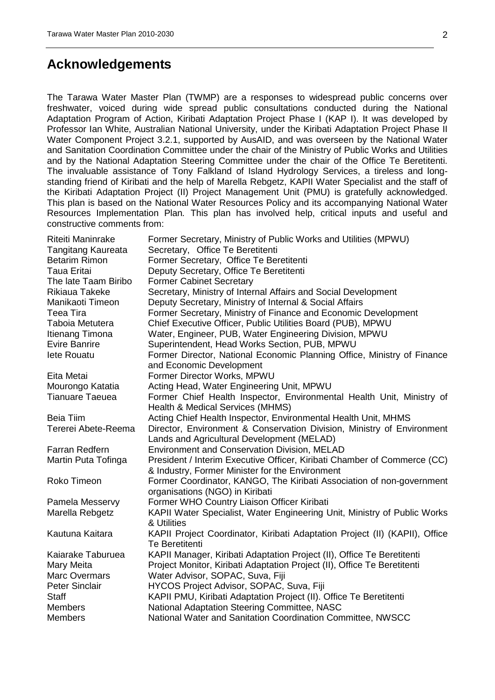## <span id="page-1-0"></span>**Acknowledgements**

The Tarawa Water Master Plan (TWMP) are a responses to widespread public concerns over freshwater, voiced during wide spread public consultations conducted during the National Adaptation Program of Action, Kiribati Adaptation Project Phase I (KAP I). It was developed by Professor Ian White, Australian National University, under the Kiribati Adaptation Project Phase II Water Component Project 3.2.1, supported by AusAID, and was overseen by the National Water and Sanitation Coordination Committee under the chair of the Ministry of Public Works and Utilities and by the National Adaptation Steering Committee under the chair of the Office Te Beretitenti. The invaluable assistance of Tony Falkland of Island Hydrology Services, a tireless and longstanding friend of Kiribati and the help of Marella Rebgetz, KAPII Water Specialist and the staff of the Kiribati Adaptation Project (II) Project Management Unit (PMU) is gratefully acknowledged. This plan is based on the National Water Resources Policy and its accompanying National Water Resources Implementation Plan*.* This plan has involved help, critical inputs and useful and constructive comments from:

| Riteiti Maninrake         | Former Secretary, Ministry of Public Works and Utilities (MPWU)             |
|---------------------------|-----------------------------------------------------------------------------|
| <b>Tangitang Kaureata</b> | Secretary, Office Te Beretitenti                                            |
| <b>Betarim Rimon</b>      | Former Secretary, Office Te Beretitenti                                     |
| <b>Taua Eritai</b>        | Deputy Secretary, Office Te Beretitenti                                     |
| The late Taam Biribo      | <b>Former Cabinet Secretary</b>                                             |
| <b>Rikiaua Takeke</b>     | Secretary, Ministry of Internal Affairs and Social Development              |
| Manikaoti Timeon          | Deputy Secretary, Ministry of Internal & Social Affairs                     |
| <b>Teea Tira</b>          | Former Secretary, Ministry of Finance and Economic Development              |
| Taboia Metutera           | Chief Executive Officer, Public Utilities Board (PUB), MPWU                 |
| Itienang Timona           | Water, Engineer, PUB, Water Engineering Division, MPWU                      |
| <b>Evire Banrire</b>      | Superintendent, Head Works Section, PUB, MPWU                               |
| lete Rouatu               | Former Director, National Economic Planning Office, Ministry of Finance     |
|                           | and Economic Development                                                    |
| Eita Metai                | Former Director Works, MPWU                                                 |
| Mourongo Katatia          | Acting Head, Water Engineering Unit, MPWU                                   |
| <b>Tianuare Taeuea</b>    | Former Chief Health Inspector, Environmental Health Unit, Ministry of       |
|                           | Health & Medical Services (MHMS)                                            |
| <b>Beia Tiim</b>          | Acting Chief Health Inspector, Environmental Health Unit, MHMS              |
| Tererei Abete-Reema       | Director, Environment & Conservation Division, Ministry of Environment      |
|                           | Lands and Agricultural Development (MELAD)                                  |
| <b>Farran Redfern</b>     | Environment and Conservation Division, MELAD                                |
| Martin Puta Tofinga       | President / Interim Executive Officer, Kiribati Chamber of Commerce (CC)    |
|                           | & Industry, Former Minister for the Environment                             |
| Roko Timeon               | Former Coordinator, KANGO, The Kiribati Association of non-government       |
|                           | organisations (NGO) in Kiribati                                             |
| Pamela Messervy           | Former WHO Country Liaison Officer Kiribati                                 |
| Marella Rebgetz           | KAPII Water Specialist, Water Engineering Unit, Ministry of Public Works    |
|                           | & Utilities                                                                 |
| Kautuna Kaitara           | KAPII Project Coordinator, Kiribati Adaptation Project (II) (KAPII), Office |
|                           | <b>Te Beretitenti</b>                                                       |
| Kaiarake Taburuea         | KAPII Manager, Kiribati Adaptation Project (II), Office Te Beretitenti      |
| Mary Meita                | Project Monitor, Kiribati Adaptation Project (II), Office Te Beretitenti    |
| <b>Marc Overmars</b>      | Water Advisor, SOPAC, Suva, Fiji                                            |
| <b>Peter Sinclair</b>     | HYCOS Project Advisor, SOPAC, Suva, Fiji                                    |
| <b>Staff</b>              | KAPII PMU, Kiribati Adaptation Project (II). Office Te Beretitenti          |
| <b>Members</b>            | National Adaptation Steering Committee, NASC                                |
| <b>Members</b>            |                                                                             |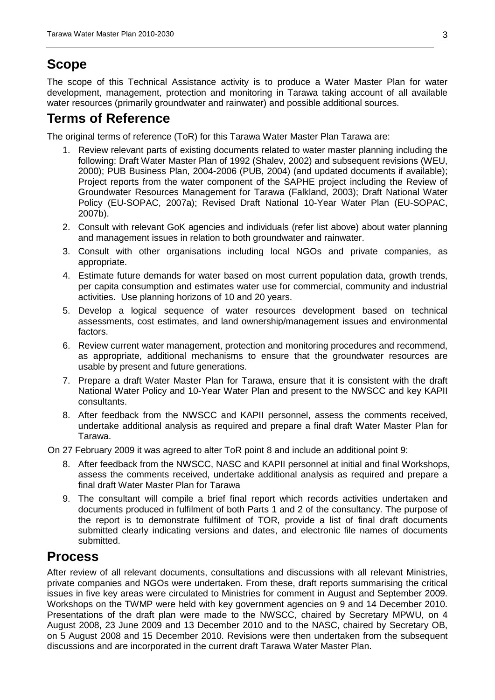## <span id="page-2-0"></span>**Scope**

The scope of this Technical Assistance activity is to produce a Water Master Plan for water development, management, protection and monitoring in Tarawa taking account of all available water resources (primarily groundwater and rainwater) and possible additional sources.

## <span id="page-2-1"></span>**Terms of Reference**

The original terms of reference (ToR) for this Tarawa Water Master Plan Tarawa are:

- 1. Review relevant parts of existing documents related to water master planning including the following: Draft Water Master Plan of 1992 (Shalev, 2002) and subsequent revisions (WEU, 2000); PUB Business Plan, 2004-2006 (PUB, 2004) (and updated documents if available); Project reports from the water component of the SAPHE project including the Review of Groundwater Resources Management for Tarawa (Falkland, 2003); Draft National Water Policy (EU-SOPAC, 2007a); Revised Draft National 10-Year Water Plan (EU-SOPAC, 2007b).
- 2. Consult with relevant GoK agencies and individuals (refer list above) about water planning and management issues in relation to both groundwater and rainwater.
- 3. Consult with other organisations including local NGOs and private companies, as appropriate.
- 4. Estimate future demands for water based on most current population data, growth trends, per capita consumption and estimates water use for commercial, community and industrial activities. Use planning horizons of 10 and 20 years.
- 5. Develop a logical sequence of water resources development based on technical assessments, cost estimates, and land ownership/management issues and environmental factors.
- 6. Review current water management, protection and monitoring procedures and recommend, as appropriate, additional mechanisms to ensure that the groundwater resources are usable by present and future generations.
- 7. Prepare a draft Water Master Plan for Tarawa, ensure that it is consistent with the draft National Water Policy and 10-Year Water Plan and present to the NWSCC and key KAPII consultants.
- 8. After feedback from the NWSCC and KAPII personnel, assess the comments received, undertake additional analysis as required and prepare a final draft Water Master Plan for Tarawa.

On 27 February 2009 it was agreed to alter ToR point 8 and include an additional point 9:

- 8. After feedback from the NWSCC, NASC and KAPII personnel at initial and final Workshops, assess the comments received, undertake additional analysis as required and prepare a final draft Water Master Plan for Tarawa
- 9. The consultant will compile a brief final report which records activities undertaken and documents produced in fulfilment of both Parts 1 and 2 of the consultancy. The purpose of the report is to demonstrate fulfilment of TOR, provide a list of final draft documents submitted clearly indicating versions and dates, and electronic file names of documents submitted.

## <span id="page-2-2"></span>**Process**

After review of all relevant documents, consultations and discussions with all relevant Ministries, private companies and NGOs were undertaken. From these, draft reports summarising the critical issues in five key areas were circulated to Ministries for comment in August and September 2009. Workshops on the TWMP were held with key government agencies on 9 and 14 December 2010. Presentations of the draft plan were made to the NWSCC, chaired by Secretary MPWU, on 4 August 2008, 23 June 2009 and 13 December 2010 and to the NASC, chaired by Secretary OB, on 5 August 2008 and 15 December 2010. Revisions were then undertaken from the subsequent discussions and are incorporated in the current draft Tarawa Water Master Plan.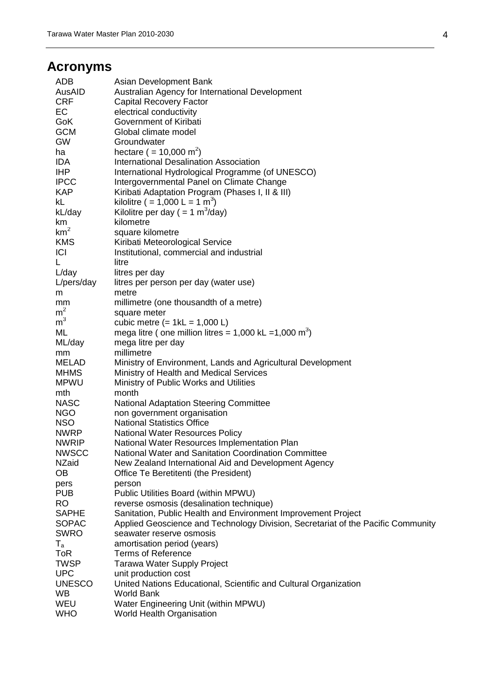## <span id="page-3-0"></span>**Acronyms**

| <b>ADB</b>      | Asian Development Bank                                                           |
|-----------------|----------------------------------------------------------------------------------|
| AusAID          | Australian Agency for International Development                                  |
| <b>CRF</b>      | <b>Capital Recovery Factor</b>                                                   |
| EC              | electrical conductivity                                                          |
| <b>GoK</b>      | Government of Kiribati                                                           |
| <b>GCM</b>      | Global climate model                                                             |
| <b>GW</b>       | Groundwater                                                                      |
| ha              | hectare ( = 10,000 m <sup>2</sup> )                                              |
| IDA.            | International Desalination Association                                           |
| IHP             | International Hydrological Programme (of UNESCO)                                 |
| <b>IPCC</b>     |                                                                                  |
|                 | Intergovernmental Panel on Climate Change                                        |
| <b>KAP</b>      | Kiribati Adaptation Program (Phases I, II & III)                                 |
| kL              | kilolitre ( = 1,000 L = 1 m <sup>3</sup> )                                       |
| kL/day          | Kilolitre per day ( = $1 \text{ m}^3$ /day)                                      |
| km              | kilometre                                                                        |
| km <sup>2</sup> | square kilometre                                                                 |
| <b>KMS</b>      | Kiribati Meteorological Service                                                  |
| ICI             | Institutional, commercial and industrial                                         |
| L.              | litre                                                                            |
| L/day           | litres per day                                                                   |
| L/pers/day      | litres per person per day (water use)                                            |
| m               | metre                                                                            |
| mm              | millimetre (one thousandth of a metre)                                           |
| m <sup>2</sup>  | square meter                                                                     |
| m <sup>3</sup>  | cubic metre $(= 1kL = 1,000 L)$                                                  |
| ML              | mega litre (one million litres = $1,000$ kL = $1,000$ m <sup>3</sup> )           |
| ML/day          | mega litre per day                                                               |
| mm              | millimetre                                                                       |
| <b>MELAD</b>    | Ministry of Environment, Lands and Agricultural Development                      |
| <b>MHMS</b>     | Ministry of Health and Medical Services                                          |
| <b>MPWU</b>     | Ministry of Public Works and Utilities                                           |
| mth             | month                                                                            |
| <b>NASC</b>     | <b>National Adaptation Steering Committee</b>                                    |
| <b>NGO</b>      | non government organisation                                                      |
| <b>NSO</b>      | <b>National Statistics Office</b>                                                |
| <b>NWRP</b>     | <b>National Water Resources Policy</b>                                           |
| <b>NWRIP</b>    | National Water Resources Implementation Plan                                     |
| <b>NWSCC</b>    | National Water and Sanitation Coordination Committee                             |
| <b>NZaid</b>    | New Zealand International Aid and Development Agency                             |
| <b>OB</b>       | Office Te Beretitenti (the President)                                            |
| pers            | person                                                                           |
| <b>PUB</b>      | Public Utilities Board (within MPWU)                                             |
| <b>RO</b>       | reverse osmosis (desalination technique)                                         |
| <b>SAPHE</b>    | Sanitation, Public Health and Environment Improvement Project                    |
| <b>SOPAC</b>    | Applied Geoscience and Technology Division, Secretariat of the Pacific Community |
| <b>SWRO</b>     | seawater reserve osmosis                                                         |
| $T_{\rm a}$     | amortisation period (years)                                                      |
| <b>ToR</b>      | <b>Terms of Reference</b>                                                        |
| <b>TWSP</b>     | Tarawa Water Supply Project                                                      |
| <b>UPC</b>      | unit production cost                                                             |
| <b>UNESCO</b>   | United Nations Educational, Scientific and Cultural Organization                 |
| WB              | <b>World Bank</b>                                                                |
| WEU             | Water Engineering Unit (within MPWU)                                             |
| <b>WHO</b>      | World Health Organisation                                                        |
|                 |                                                                                  |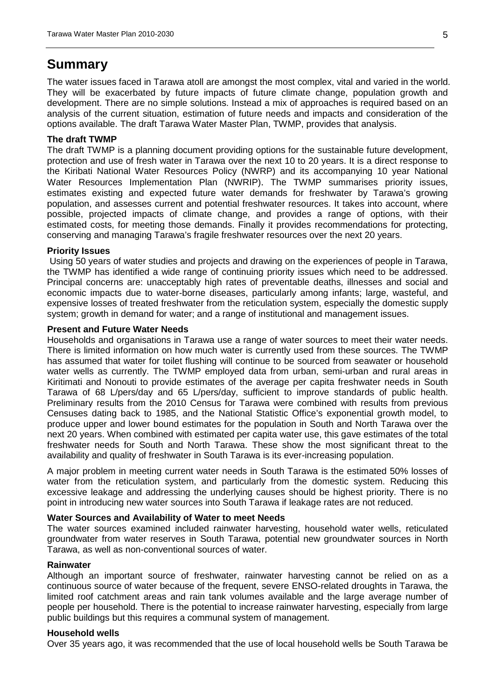## <span id="page-4-0"></span>**Summary**

The water issues faced in Tarawa atoll are amongst the most complex, vital and varied in the world. They will be exacerbated by future impacts of future climate change, population growth and development. There are no simple solutions. Instead a mix of approaches is required based on an analysis of the current situation, estimation of future needs and impacts and consideration of the options available. The draft Tarawa Water Master Plan, TWMP, provides that analysis.

#### **The draft TWMP**

The draft TWMP is a planning document providing options for the sustainable future development, protection and use of fresh water in Tarawa over the next 10 to 20 years. It is a direct response to the Kiribati National Water Resources Policy (NWRP) and its accompanying 10 year National Water Resources Implementation Plan (NWRIP). The TWMP summarises priority issues, estimates existing and expected future water demands for freshwater by Tarawa's growing population, and assesses current and potential freshwater resources. It takes into account, where possible, projected impacts of climate change, and provides a range of options, with their estimated costs, for meeting those demands. Finally it provides recommendations for protecting, conserving and managing Tarawa's fragile freshwater resources over the next 20 years.

#### **Priority Issues**

Using 50 years of water studies and projects and drawing on the experiences of people in Tarawa, the TWMP has identified a wide range of continuing priority issues which need to be addressed. Principal concerns are: unacceptably high rates of preventable deaths, illnesses and social and economic impacts due to water-borne diseases, particularly among infants; large, wasteful, and expensive losses of treated freshwater from the reticulation system, especially the domestic supply system; growth in demand for water; and a range of institutional and management issues.

#### **Present and Future Water Needs**

Households and organisations in Tarawa use a range of water sources to meet their water needs. There is limited information on how much water is currently used from these sources. The TWMP has assumed that water for toilet flushing will continue to be sourced from seawater or household water wells as currently. The TWMP employed data from urban, semi-urban and rural areas in Kiritimati and Nonouti to provide estimates of the average per capita freshwater needs in South Tarawa of 68 L/pers/day and 65 L/pers/day, sufficient to improve standards of public health. Preliminary results from the 2010 Census for Tarawa were combined with results from previous Censuses dating back to 1985, and the National Statistic Office's exponential growth model, to produce upper and lower bound estimates for the population in South and North Tarawa over the next 20 years. When combined with estimated per capita water use, this gave estimates of the total freshwater needs for South and North Tarawa. These show the most significant threat to the availability and quality of freshwater in South Tarawa is its ever-increasing population.

A major problem in meeting current water needs in South Tarawa is the estimated 50% losses of water from the reticulation system, and particularly from the domestic system. Reducing this excessive leakage and addressing the underlying causes should be highest priority. There is no point in introducing new water sources into South Tarawa if leakage rates are not reduced.

#### **Water Sources and Availability of Water to meet Needs**

The water sources examined included rainwater harvesting, household water wells, reticulated groundwater from water reserves in South Tarawa, potential new groundwater sources in North Tarawa, as well as non-conventional sources of water.

#### **Rainwater**

Although an important source of freshwater, rainwater harvesting cannot be relied on as a continuous source of water because of the frequent, severe ENSO-related droughts in Tarawa, the limited roof catchment areas and rain tank volumes available and the large average number of people per household. There is the potential to increase rainwater harvesting, especially from large public buildings but this requires a communal system of management.

#### **Household wells**

Over 35 years ago, it was recommended that the use of local household wells be South Tarawa be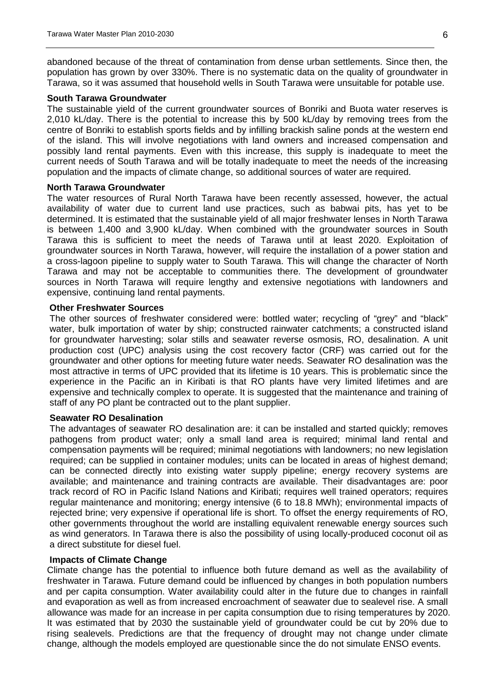abandoned because of the threat of contamination from dense urban settlements. Since then, the population has grown by over 330%. There is no systematic data on the quality of groundwater in Tarawa, so it was assumed that household wells in South Tarawa were unsuitable for potable use.

#### **South Tarawa Groundwater**

The sustainable yield of the current groundwater sources of Bonriki and Buota water reserves is 2,010 kL/day. There is the potential to increase this by 500 kL/day by removing trees from the centre of Bonriki to establish sports fields and by infilling brackish saline ponds at the western end of the island. This will involve negotiations with land owners and increased compensation and possibly land rental payments. Even with this increase, this supply is inadequate to meet the current needs of South Tarawa and will be totally inadequate to meet the needs of the increasing population and the impacts of climate change, so additional sources of water are required.

#### **North Tarawa Groundwater**

The water resources of Rural North Tarawa have been recently assessed, however, the actual availability of water due to current land use practices, such as babwai pits, has yet to be determined. It is estimated that the sustainable yield of all major freshwater lenses in North Tarawa is between 1,400 and 3,900 kL/day. When combined with the groundwater sources in South Tarawa this is sufficient to meet the needs of Tarawa until at least 2020. Exploitation of groundwater sources in North Tarawa, however, will require the installation of a power station and a cross-lagoon pipeline to supply water to South Tarawa. This will change the character of North Tarawa and may not be acceptable to communities there. The development of groundwater sources in North Tarawa will require lengthy and extensive negotiations with landowners and expensive, continuing land rental payments.

#### **Other Freshwater Sources**

The other sources of freshwater considered were: bottled water; recycling of "grey" and "black" water, bulk importation of water by ship; constructed rainwater catchments; a constructed island for groundwater harvesting; solar stills and seawater reverse osmosis, RO, desalination. A unit production cost (UPC) analysis using the cost recovery factor (CRF) was carried out for the groundwater and other options for meeting future water needs. Seawater RO desalination was the most attractive in terms of UPC provided that its lifetime is 10 years. This is problematic since the experience in the Pacific an in Kiribati is that RO plants have very limited lifetimes and are expensive and technically complex to operate. It is suggested that the maintenance and training of staff of any PO plant be contracted out to the plant supplier.

#### **Seawater RO Desalination**

The advantages of seawater RO desalination are: it can be installed and started quickly; removes pathogens from product water; only a small land area is required; minimal land rental and compensation payments will be required; minimal negotiations with landowners; no new legislation required; can be supplied in container modules; units can be located in areas of highest demand; can be connected directly into existing water supply pipeline; energy recovery systems are available; and maintenance and training contracts are available. Their disadvantages are: poor track record of RO in Pacific Island Nations and Kiribati; requires well trained operators; requires regular maintenance and monitoring; energy intensive (6 to 18.8 MWh); environmental impacts of rejected brine; very expensive if operational life is short. To offset the energy requirements of RO, other governments throughout the world are installing equivalent renewable energy sources such as wind generators. In Tarawa there is also the possibility of using locally-produced coconut oil as a direct substitute for diesel fuel.

#### **Impacts of Climate Change**

Climate change has the potential to influence both future demand as well as the availability of freshwater in Tarawa. Future demand could be influenced by changes in both population numbers and per capita consumption. Water availability could alter in the future due to changes in rainfall and evaporation as well as from increased encroachment of seawater due to sealevel rise. A small allowance was made for an increase in per capita consumption due to rising temperatures by 2020. It was estimated that by 2030 the sustainable yield of groundwater could be cut by 20% due to rising sealevels. Predictions are that the frequency of drought may not change under climate change, although the models employed are questionable since the do not simulate ENSO events.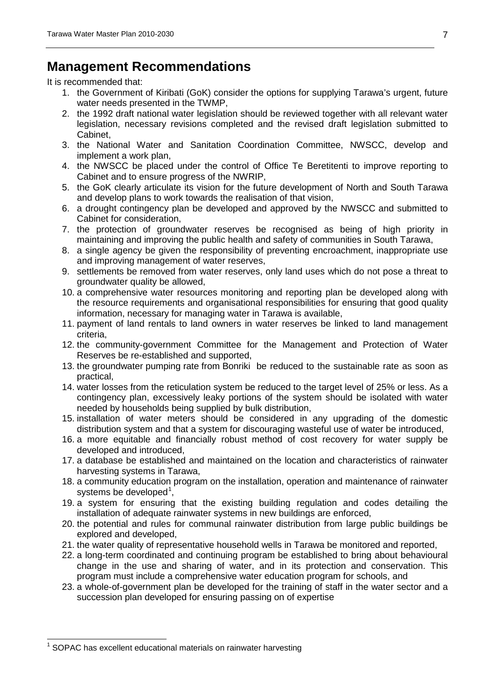## <span id="page-6-1"></span>**Management Recommendations**

It is recommended that:

- 1. the Government of Kiribati (GoK) consider the options for supplying Tarawa's urgent, future water needs presented in the TWMP,
- 2. the 1992 draft national water legislation should be reviewed together with all relevant water legislation, necessary revisions completed and the revised draft legislation submitted to Cabinet,
- 3. the National Water and Sanitation Coordination Committee, NWSCC, develop and implement a work plan,
- 4. the NWSCC be placed under the control of Office Te Beretitenti to improve reporting to Cabinet and to ensure progress of the NWRIP,
- 5. the GoK clearly articulate its vision for the future development of North and South Tarawa and develop plans to work towards the realisation of that vision,
- 6. a drought contingency plan be developed and approved by the NWSCC and submitted to Cabinet for consideration,
- 7. the protection of groundwater reserves be recognised as being of high priority in maintaining and improving the public health and safety of communities in South Tarawa,
- 8. a single agency be given the responsibility of preventing encroachment, inappropriate use and improving management of water reserves,
- 9. settlements be removed from water reserves, only land uses which do not pose a threat to groundwater quality be allowed,
- 10. a comprehensive water resources monitoring and reporting plan be developed along with the resource requirements and organisational responsibilities for ensuring that good quality information, necessary for managing water in Tarawa is available,
- 11. payment of land rentals to land owners in water reserves be linked to land management criteria,
- 12. the community-government Committee for the Management and Protection of Water Reserves be re-established and supported,
- 13. the groundwater pumping rate from Bonriki be reduced to the sustainable rate as soon as practical,
- 14. water losses from the reticulation system be reduced to the target level of 25% or less. As a contingency plan, excessively leaky portions of the system should be isolated with water needed by households being supplied by bulk distribution,
- 15. installation of water meters should be considered in any upgrading of the domestic distribution system and that a system for discouraging wasteful use of water be introduced,
- 16. a more equitable and financially robust method of cost recovery for water supply be developed and introduced,
- 17. a database be established and maintained on the location and characteristics of rainwater harvesting systems in Tarawa,
- 18. a community education program on the installation, operation and maintenance of rainwater systems be developed<sup>[1](#page-6-0)</sup>,
- 19. a system for ensuring that the existing building regulation and codes detailing the installation of adequate rainwater systems in new buildings are enforced,
- 20. the potential and rules for communal rainwater distribution from large public buildings be explored and developed,
- 21. the water quality of representative household wells in Tarawa be monitored and reported,
- 22. a long-term coordinated and continuing program be established to bring about behavioural change in the use and sharing of water, and in its protection and conservation. This program must include a comprehensive water education program for schools, and
- 23. a whole-of-government plan be developed for the training of staff in the water sector and a succession plan developed for ensuring passing on of expertise

<span id="page-6-0"></span> $1$  SOPAC has excellent educational materials on rainwater harvesting  $\overline{a}$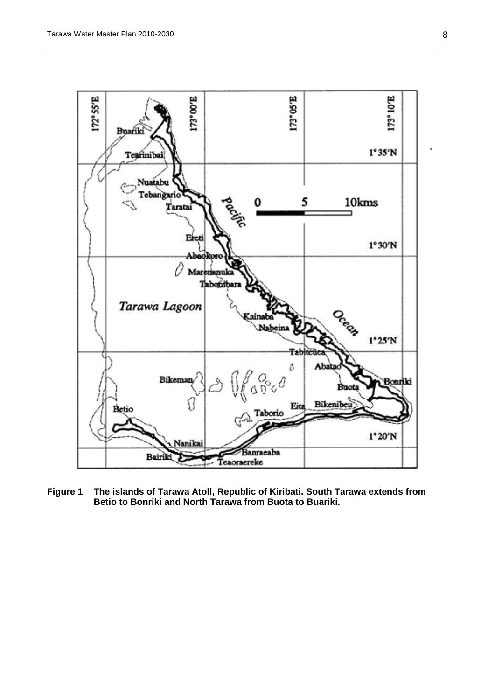

<span id="page-7-0"></span>**Figure 1 The islands of Tarawa Atoll, Republic of Kiribati. South Tarawa extends from Betio to Bonriki and North Tarawa from Buota to Buariki.**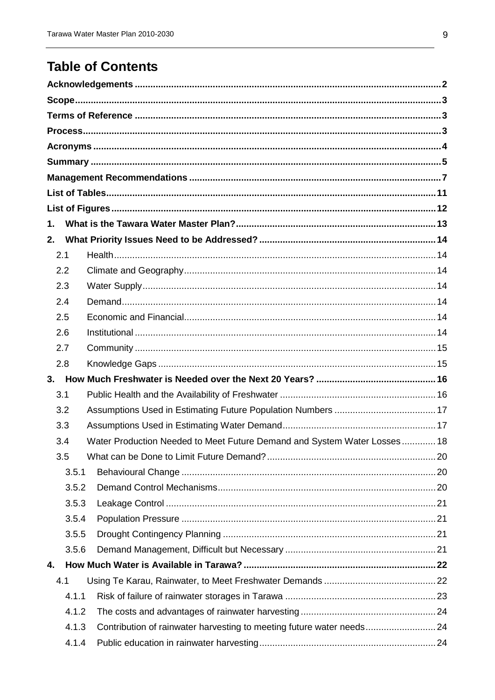## **Table of Contents**

| 1.  |       |                                                                          |  |
|-----|-------|--------------------------------------------------------------------------|--|
| 2.  |       |                                                                          |  |
| 2.1 |       |                                                                          |  |
|     | 2.2   |                                                                          |  |
|     | 2.3   |                                                                          |  |
|     | 2.4   |                                                                          |  |
|     | 2.5   |                                                                          |  |
|     | 2.6   |                                                                          |  |
|     | 2.7   |                                                                          |  |
|     | 2.8   |                                                                          |  |
| 3.  |       |                                                                          |  |
|     | 3.1   |                                                                          |  |
|     | 3.2   |                                                                          |  |
|     | 3.3   |                                                                          |  |
|     | 3.4   | Water Production Needed to Meet Future Demand and System Water Losses 18 |  |
|     | 3.5   |                                                                          |  |
|     | 3.5.1 |                                                                          |  |
|     | 3.5.2 |                                                                          |  |
|     | 3.5.3 |                                                                          |  |
|     | 3.5.4 |                                                                          |  |
|     | 3.5.5 |                                                                          |  |
|     | 3.5.6 |                                                                          |  |
| 4.  |       |                                                                          |  |
| 4.1 |       |                                                                          |  |
|     | 4.1.1 |                                                                          |  |
|     | 4.1.2 |                                                                          |  |
|     | 4.1.3 | Contribution of rainwater harvesting to meeting future water needs24     |  |
|     | 4.1.4 |                                                                          |  |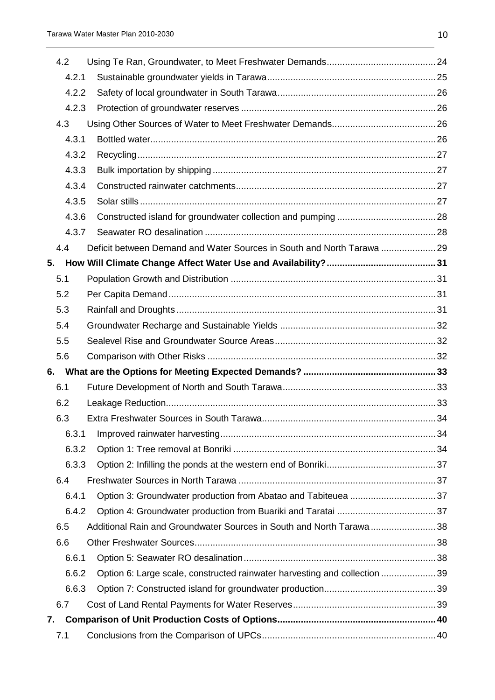| 4.2 |       |                                                                           |  |  |  |  |
|-----|-------|---------------------------------------------------------------------------|--|--|--|--|
|     | 4.2.1 |                                                                           |  |  |  |  |
|     | 4.2.2 |                                                                           |  |  |  |  |
|     | 4.2.3 |                                                                           |  |  |  |  |
| 4.3 |       |                                                                           |  |  |  |  |
|     | 4.3.1 |                                                                           |  |  |  |  |
|     | 4.3.2 |                                                                           |  |  |  |  |
|     | 4.3.3 |                                                                           |  |  |  |  |
|     | 4.3.4 |                                                                           |  |  |  |  |
|     | 4.3.5 |                                                                           |  |  |  |  |
|     | 4.3.6 |                                                                           |  |  |  |  |
|     | 4.3.7 |                                                                           |  |  |  |  |
| 4.4 |       | Deficit between Demand and Water Sources in South and North Tarawa  29    |  |  |  |  |
| 5.  |       |                                                                           |  |  |  |  |
| 5.1 |       |                                                                           |  |  |  |  |
| 5.2 |       |                                                                           |  |  |  |  |
| 5.3 |       |                                                                           |  |  |  |  |
| 5.4 |       |                                                                           |  |  |  |  |
| 5.5 |       |                                                                           |  |  |  |  |
| 5.6 |       |                                                                           |  |  |  |  |
| 6.  |       |                                                                           |  |  |  |  |
| 6.1 |       |                                                                           |  |  |  |  |
| 6.2 |       |                                                                           |  |  |  |  |
| 6.3 |       |                                                                           |  |  |  |  |
|     | 6.3.1 |                                                                           |  |  |  |  |
|     | 6.3.2 |                                                                           |  |  |  |  |
|     | 6.3.3 |                                                                           |  |  |  |  |
| 6.4 |       |                                                                           |  |  |  |  |
|     | 6.4.1 |                                                                           |  |  |  |  |
|     | 6.4.2 |                                                                           |  |  |  |  |
| 6.5 |       | Additional Rain and Groundwater Sources in South and North Tarawa 38      |  |  |  |  |
| 6.6 |       |                                                                           |  |  |  |  |
|     | 6.6.1 |                                                                           |  |  |  |  |
|     | 6.6.2 | Option 6: Large scale, constructed rainwater harvesting and collection 39 |  |  |  |  |
|     | 6.6.3 |                                                                           |  |  |  |  |
| 6.7 |       |                                                                           |  |  |  |  |
| 7.  |       |                                                                           |  |  |  |  |
| 7.1 |       |                                                                           |  |  |  |  |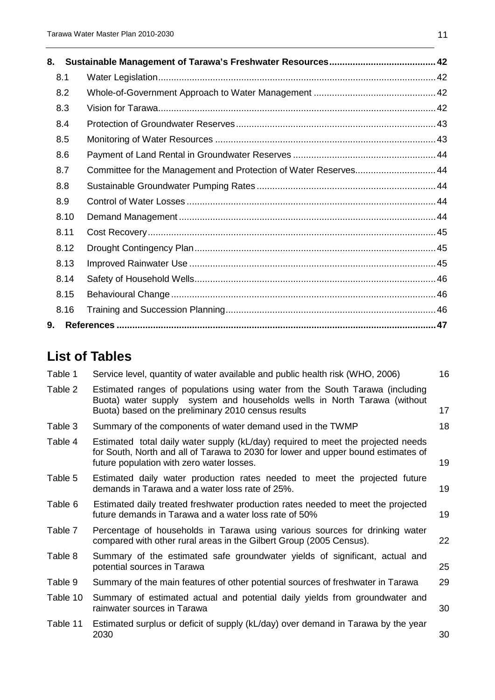| 8.   |                                                                  |  |
|------|------------------------------------------------------------------|--|
| 8.1  |                                                                  |  |
| 8.2  |                                                                  |  |
| 8.3  |                                                                  |  |
| 8.4  |                                                                  |  |
| 8.5  |                                                                  |  |
| 8.6  |                                                                  |  |
| 8.7  | Committee for the Management and Protection of Water Reserves 44 |  |
| 8.8  |                                                                  |  |
| 8.9  |                                                                  |  |
| 8.10 |                                                                  |  |
| 8.11 |                                                                  |  |
| 8.12 |                                                                  |  |
| 8.13 |                                                                  |  |
| 8.14 |                                                                  |  |
| 8.15 |                                                                  |  |
| 8.16 |                                                                  |  |
| 9.   |                                                                  |  |

## <span id="page-10-0"></span>**List of Tables**

| Table 1  | Service level, quantity of water available and public health risk (WHO, 2006)                                                                                                                                      | 16 |
|----------|--------------------------------------------------------------------------------------------------------------------------------------------------------------------------------------------------------------------|----|
| Table 2  | Estimated ranges of populations using water from the South Tarawa (including<br>Buota) water supply system and households wells in North Tarawa (without<br>Buota) based on the preliminary 2010 census results    | 17 |
| Table 3  | Summary of the components of water demand used in the TWMP                                                                                                                                                         | 18 |
| Table 4  | Estimated total daily water supply (kL/day) required to meet the projected needs<br>for South, North and all of Tarawa to 2030 for lower and upper bound estimates of<br>future population with zero water losses. | 19 |
| Table 5  | Estimated daily water production rates needed to meet the projected future<br>demands in Tarawa and a water loss rate of 25%.                                                                                      | 19 |
| Table 6  | Estimated daily treated freshwater production rates needed to meet the projected<br>future demands in Tarawa and a water loss rate of 50%                                                                          | 19 |
| Table 7  | Percentage of households in Tarawa using various sources for drinking water<br>compared with other rural areas in the Gilbert Group (2005 Census).                                                                 | 22 |
| Table 8  | Summary of the estimated safe groundwater yields of significant, actual and<br>potential sources in Tarawa                                                                                                         | 25 |
| Table 9  | Summary of the main features of other potential sources of freshwater in Tarawa                                                                                                                                    | 29 |
| Table 10 | Summary of estimated actual and potential daily yields from groundwater and<br>rainwater sources in Tarawa                                                                                                         | 30 |
| Table 11 | Estimated surplus or deficit of supply (kL/day) over demand in Tarawa by the year<br>2030                                                                                                                          | 30 |
|          |                                                                                                                                                                                                                    |    |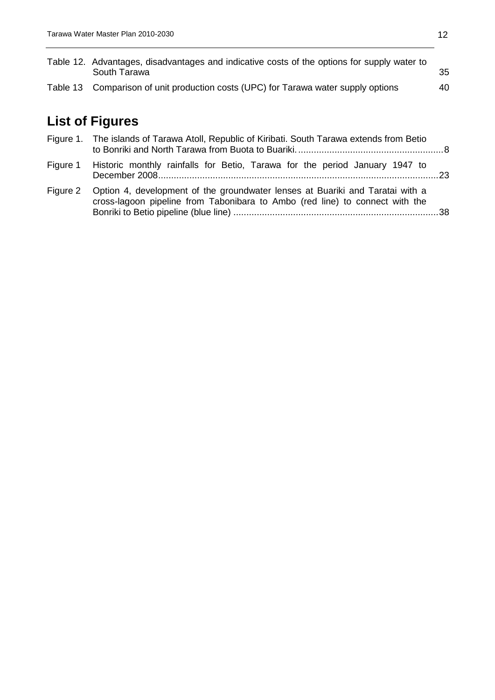| Table 12. Advantages, disadvantages and indicative costs of the options for supply water to<br>South Tarawa | 35 |
|-------------------------------------------------------------------------------------------------------------|----|
| Table 13 Comparison of unit production costs (UPC) for Tarawa water supply options                          | 40 |

## <span id="page-11-0"></span>**List of Figures**

| Figure 1. The islands of Tarawa Atoll, Republic of Kiribati. South Tarawa extends from Betio                                                                           |  |  |  |
|------------------------------------------------------------------------------------------------------------------------------------------------------------------------|--|--|--|
| Figure 1 Historic monthly rainfalls for Betio, Tarawa for the period January 1947 to                                                                                   |  |  |  |
| Figure 2 Option 4, development of the groundwater lenses at Buariki and Taratai with a<br>cross-lagoon pipeline from Tabonibara to Ambo (red line) to connect with the |  |  |  |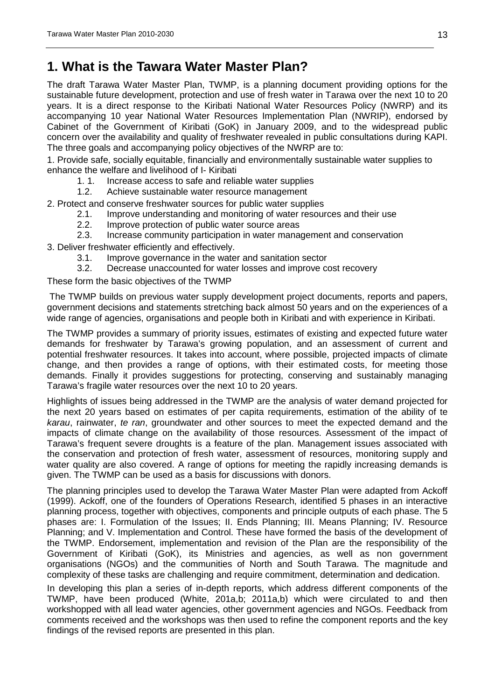## <span id="page-12-0"></span>**1. What is the Tawara Water Master Plan?**

The draft Tarawa Water Master Plan, TWMP, is a planning document providing options for the sustainable future development, protection and use of fresh water in Tarawa over the next 10 to 20 years. It is a direct response to the Kiribati National Water Resources Policy (NWRP) and its accompanying 10 year National Water Resources Implementation Plan (NWRIP), endorsed by Cabinet of the Government of Kiribati (GoK) in January 2009, and to the widespread public concern over the availability and quality of freshwater revealed in public consultations during KAPI. The three goals and accompanying policy objectives of the NWRP are to:

1. Provide safe, socially equitable, financially and environmentally sustainable water supplies to enhance the welfare and livelihood of I- Kiribati<br>1. 1. Increase access to safe and relia

Increase access to safe and reliable water supplies

1.2. Achieve sustainable water resource management

2. Protect and conserve freshwater sources for public water supplies

- 2.1. Improve understanding and monitoring of water resources and their use 2.2. Improve protection of public water source areas
	- 2.2. Improve protection of public water source areas<br>2.3. Increase community participation in water mana
- 2.3. Increase community participation in water management and conservation

3. Deliver freshwater efficiently and effectively.

- 3.1. Improve governance in the water and sanitation sector
- Decrease unaccounted for water losses and improve cost recovery

These form the basic objectives of the TWMP

The TWMP builds on previous water supply development project documents, reports and papers, government decisions and statements stretching back almost 50 years and on the experiences of a wide range of agencies, organisations and people both in Kiribati and with experience in Kiribati.

The TWMP provides a summary of priority issues, estimates of existing and expected future water demands for freshwater by Tarawa's growing population, and an assessment of current and potential freshwater resources. It takes into account, where possible, projected impacts of climate change, and then provides a range of options, with their estimated costs, for meeting those demands. Finally it provides suggestions for protecting, conserving and sustainably managing Tarawa's fragile water resources over the next 10 to 20 years.

Highlights of issues being addressed in the TWMP are the analysis of water demand projected for the next 20 years based on estimates of per capita requirements, estimation of the ability of te *karau*, rainwater, *te ran*, groundwater and other sources to meet the expected demand and the impacts of climate change on the availability of those resources. Assessment of the impact of Tarawa's frequent severe droughts is a feature of the plan. Management issues associated with the conservation and protection of fresh water, assessment of resources, monitoring supply and water quality are also covered. A range of options for meeting the rapidly increasing demands is given. The TWMP can be used as a basis for discussions with donors.

The planning principles used to develop the Tarawa Water Master Plan were adapted from Ackoff (1999). Ackoff, one of the founders of Operations Research, identified 5 phases in an interactive planning process, together with objectives, components and principle outputs of each phase. The 5 phases are: I. Formulation of the Issues; II. Ends Planning; III. Means Planning; IV. Resource Planning; and V. Implementation and Control. These have formed the basis of the development of the TWMP. Endorsement, implementation and revision of the Plan are the responsibility of the Government of Kiribati (GoK), its Ministries and agencies, as well as non government organisations (NGOs) and the communities of North and South Tarawa. The magnitude and complexity of these tasks are challenging and require commitment, determination and dedication.

In developing this plan a series of in-depth reports, which address different components of the TWMP, have been produced (White, 201a,b; 2011a,b) which were circulated to and then workshopped with all lead water agencies, other government agencies and NGOs. Feedback from comments received and the workshops was then used to refine the component reports and the key findings of the revised reports are presented in this plan.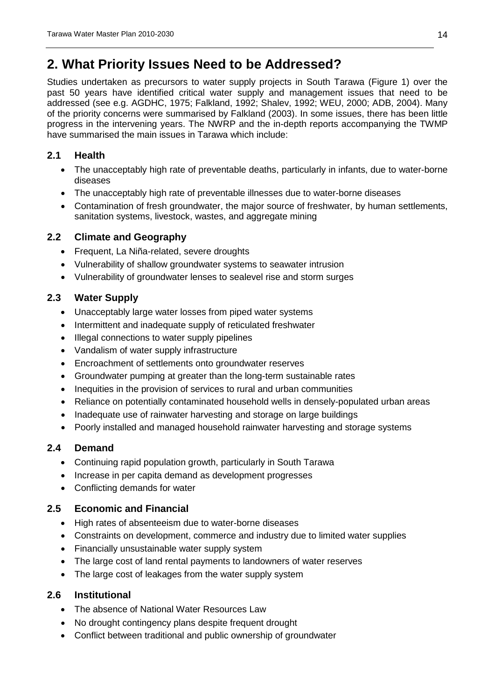## <span id="page-13-0"></span>**2. What Priority Issues Need to be Addressed?**

Studies undertaken as precursors to water supply projects in South Tarawa [\(Figure 1\)](#page-7-0) over the past 50 years have identified critical water supply and management issues that need to be addressed (see e.g. AGDHC, 1975; Falkland, 1992; Shalev, 1992; WEU, 2000; ADB, 2004). Many of the priority concerns were summarised by Falkland (2003). In some issues, there has been little progress in the intervening years. The NWRP and the in-depth reports accompanying the TWMP have summarised the main issues in Tarawa which include:

### <span id="page-13-1"></span>**2.1 Health**

- The unacceptably high rate of preventable deaths, particularly in infants, due to water-borne diseases
- The unacceptably high rate of preventable illnesses due to water-borne diseases
- Contamination of fresh groundwater, the major source of freshwater, by human settlements, sanitation systems, livestock, wastes, and aggregate mining

## <span id="page-13-2"></span>**2.2 Climate and Geography**

- Frequent, La Niña-related, severe droughts
- Vulnerability of shallow groundwater systems to seawater intrusion
- Vulnerability of groundwater lenses to sealevel rise and storm surges

## <span id="page-13-3"></span>**2.3 Water Supply**

- Unacceptably large water losses from piped water systems
- Intermittent and inadequate supply of reticulated freshwater
- Illegal connections to water supply pipelines
- Vandalism of water supply infrastructure
- Encroachment of settlements onto groundwater reserves
- Groundwater pumping at greater than the long-term sustainable rates
- Inequities in the provision of services to rural and urban communities
- Reliance on potentially contaminated household wells in densely-populated urban areas
- Inadequate use of rainwater harvesting and storage on large buildings
- Poorly installed and managed household rainwater harvesting and storage systems

## <span id="page-13-4"></span>**2.4 Demand**

- Continuing rapid population growth, particularly in South Tarawa
- Increase in per capita demand as development progresses
- Conflicting demands for water

## <span id="page-13-5"></span>**2.5 Economic and Financial**

- High rates of absenteeism due to water-borne diseases
- Constraints on development, commerce and industry due to limited water supplies
- Financially unsustainable water supply system
- The large cost of land rental payments to landowners of water reserves
- The large cost of leakages from the water supply system

## <span id="page-13-6"></span>**2.6 Institutional**

- The absence of National Water Resources Law
- No drought contingency plans despite frequent drought
- Conflict between traditional and public ownership of groundwater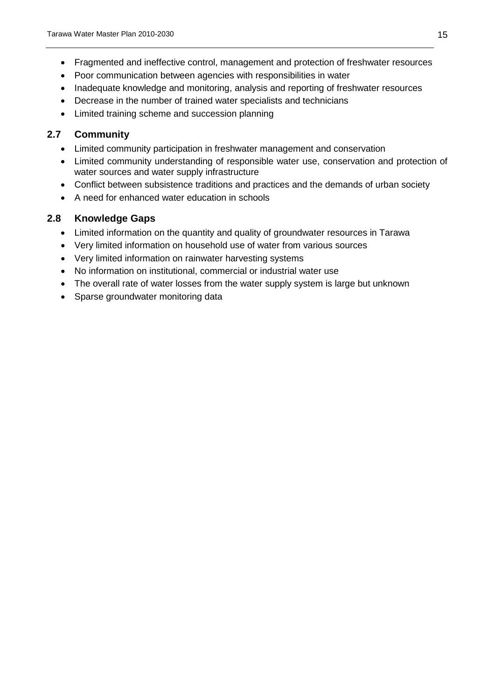- Fragmented and ineffective control, management and protection of freshwater resources
- Poor communication between agencies with responsibilities in water
- Inadequate knowledge and monitoring, analysis and reporting of freshwater resources
- Decrease in the number of trained water specialists and technicians
- Limited training scheme and succession planning

#### <span id="page-14-0"></span>**2.7 Community**

- Limited community participation in freshwater management and conservation
- Limited community understanding of responsible water use, conservation and protection of water sources and water supply infrastructure
- Conflict between subsistence traditions and practices and the demands of urban society
- A need for enhanced water education in schools

#### <span id="page-14-1"></span>**2.8 Knowledge Gaps**

- Limited information on the quantity and quality of groundwater resources in Tarawa
- Very limited information on household use of water from various sources
- Very limited information on rainwater harvesting systems
- No information on institutional, commercial or industrial water use
- The overall rate of water losses from the water supply system is large but unknown
- Sparse groundwater monitoring data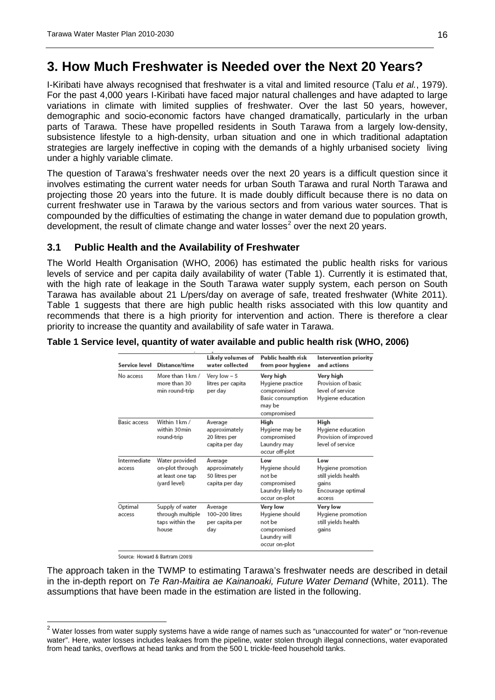## <span id="page-15-0"></span>**3. How Much Freshwater is Needed over the Next 20 Years?**

I-Kiribati have always recognised that freshwater is a vital and limited resource (Talu *et al.*, 1979). For the past 4,000 years I-Kiribati have faced major natural challenges and have adapted to large variations in climate with limited supplies of freshwater. Over the last 50 years, however, demographic and socio-economic factors have changed dramatically, particularly in the urban parts of Tarawa. These have propelled residents in South Tarawa from a largely low-density, subsistence lifestyle to a high-density, urban situation and one in which traditional adaptation strategies are largely ineffective in coping with the demands of a highly urbanised society living under a highly variable climate.

The question of Tarawa's freshwater needs over the next 20 years is a difficult question since it involves estimating the current water needs for urban South Tarawa and rural North Tarawa and projecting those 20 years into the future. It is made doubly difficult because there is no data on current freshwater use in Tarawa by the various sectors and from various water sources. That is compounded by the difficulties of estimating the change in water demand due to population growth, development, the result of climate change and water losses<sup>[2](#page-15-3)</sup> over the next 20 years.

#### <span id="page-15-1"></span>**3.1 Public Health and the Availability of Freshwater**

The World Health Organisation (WHO, 2006) has estimated the public health risks for various levels of service and per capita daily availability of water [\(Table 1\)](#page-15-2). Currently it is estimated that, with the high rate of leakage in the South Tarawa water supply system, each person on South Tarawa has available about 21 L/pers/day on average of safe, treated freshwater (White 2011). Table 1 suggests that there are high public health risks associated with this low quantity and recommends that there is a high priority for intervention and action. There is therefore a clear priority to increase the quantity and availability of safe water in Tarawa.

<span id="page-15-2"></span>

|  |  |  | Table 1 Service level, quantity of water available and public health risk (WHO, 2006) |
|--|--|--|---------------------------------------------------------------------------------------|
|--|--|--|---------------------------------------------------------------------------------------|

| Service level          | Distance/time                                                         | Likely volumes of<br>water collected                        | Public health risk<br>from poor hygiene                                                    | Intervention priority<br>and actions                                                    |
|------------------------|-----------------------------------------------------------------------|-------------------------------------------------------------|--------------------------------------------------------------------------------------------|-----------------------------------------------------------------------------------------|
| No access              | More than 1 km /<br>more than 30<br>min round-trip                    | Very low – 5<br>litres per capita<br>per day                | Very high<br>Hygiene practice<br>compromised<br>Basic consumption<br>may be<br>compromised | Very high<br>Provision of basic<br>level of service<br>Hygiene education                |
| Basic access           | Within 1 km /<br>within 30min<br>round-trip                           | Average<br>approximately<br>20 litres per<br>capita per day | High<br>Hygiene may be<br>compromised<br>Laundry may<br>occur off-plot                     | High<br>Hygiene education<br>Provision of improved<br>level of service                  |
| Intermediate<br>access | Water provided<br>on-plot through<br>at least one tap<br>(yard level) | Average<br>approximately<br>50 litres per<br>capita per day | Low<br>Hygiene should<br>not be<br>compromised<br>Laundry likely to<br>occur on-plot       | Low<br>Hygiene promotion<br>still yields health<br>gains<br>Encourage optimal<br>access |
| Optimal<br>access      | Supply of water<br>through multiple<br>taps within the<br>house       | Average<br>100-200 litres<br>per capita per<br>day          | Very low<br>Hygiene should<br>not be<br>compromised<br>Laundry will<br>occur on-plot       | Very low<br>Hygiene promotion<br>still yields health<br>gains                           |

Source: Howard & Bartram (2003)

 $\overline{a}$ 

The approach taken in the TWMP to estimating Tarawa's freshwater needs are described in detail in the in-depth report on *Te Ran-Maitira ae Kainanoaki, Future Water Demand* (White, 2011). The assumptions that have been made in the estimation are listed in the following.

<span id="page-15-3"></span> $2$  Water losses from water supply systems have a wide range of names such as "unaccounted for water" or "non-revenue water". Here, water losses includes leakaes from the pipeline, water stolen through illegal connections, water evaporated from head tanks, overflows at head tanks and from the 500 L trickle-feed household tanks.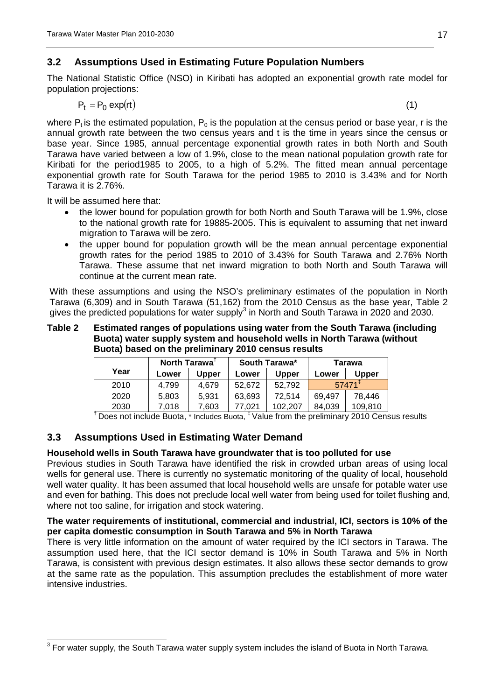## <span id="page-16-0"></span>**3.2 Assumptions Used in Estimating Future Population Numbers**

The National Statistic Office (NSO) in Kiribati has adopted an exponential growth rate model for population projections:

$$
P_t = P_0 \exp(rt) \tag{1}
$$

where  $P_t$  is the estimated population,  $P_0$  is the population at the census period or base year, r is the annual growth rate between the two census years and t is the time in years since the census or base year. Since 1985, annual percentage exponential growth rates in both North and South Tarawa have varied between a low of 1.9%, close to the mean national population growth rate for Kiribati for the period1985 to 2005, to a high of 5.2%. The fitted mean annual percentage exponential growth rate for South Tarawa for the period 1985 to 2010 is 3.43% and for North Tarawa it is 2.76%.

It will be assumed here that:

- the lower bound for population growth for both North and South Tarawa will be 1.9%, close to the national growth rate for 19885-2005. This is equivalent to assuming that net inward migration to Tarawa will be zero.
- the upper bound for population growth will be the mean annual percentage exponential growth rates for the period 1985 to 2010 of 3.43% for South Tarawa and 2.76% North Tarawa. These assume that net inward migration to both North and South Tarawa will continue at the current mean rate.

With these assumptions and using the NSO's preliminary estimates of the population in North Tarawa (6,309) and in South Tarawa (51,162) from the 2010 Census as the base year, [Table 2](#page-16-2) gives the predicted populations for water supply<sup>[3](#page-16-3)</sup> in North and South Tarawa in 2020 and 2030.

#### <span id="page-16-2"></span>**Table 2 Estimated ranges of populations using water from the South Tarawa (including Buota) water supply system and household wells in North Tarawa (without Buota) based on the preliminary 2010 census results**

| <b>North Tarawa</b> |       |              | South Tarawa* |              | Tarawa |          |
|---------------------|-------|--------------|---------------|--------------|--------|----------|
| Year                | Lower | <b>Upper</b> | Lower         | <b>Upper</b> | Lower  | Upper    |
| 2010                | 4.799 | 4.679        | 52.672        | 52.792       |        | $57471+$ |
| 2020                | 5,803 | 5.931        | 63.693        | 72.514       | 69.497 | 78.446   |
| 2030                | 7.018 | 7.603        | 77.021        | 102.207      | 84.039 | 109.810  |

**†** Does not include Buota, \* Includes Buota, ‡ Value from the preliminary 2010 Census results

## <span id="page-16-1"></span>**3.3 Assumptions Used in Estimating Water Demand**

#### **Household wells in South Tarawa have groundwater that is too polluted for use**

Previous studies in South Tarawa have identified the risk in crowded urban areas of using local wells for general use. There is currently no systematic monitoring of the quality of local, household well water quality. It has been assumed that local household wells are unsafe for potable water use and even for bathing. This does not preclude local well water from being used for toilet flushing and, where not too saline, for irrigation and stock watering.

#### **The water requirements of institutional, commercial and industrial, ICI, sectors is 10% of the per capita domestic consumption in South Tarawa and 5% in North Tarawa**

There is very little information on the amount of water required by the ICI sectors in Tarawa. The assumption used here, that the ICI sector demand is 10% in South Tarawa and 5% in North Tarawa, is consistent with previous design estimates. It also allows these sector demands to grow at the same rate as the population. This assumption precludes the establishment of more water intensive industries.

<span id="page-16-3"></span> $3$  For water supply, the South Tarawa water supply system includes the island of Buota in North Tarawa.  $\overline{a}$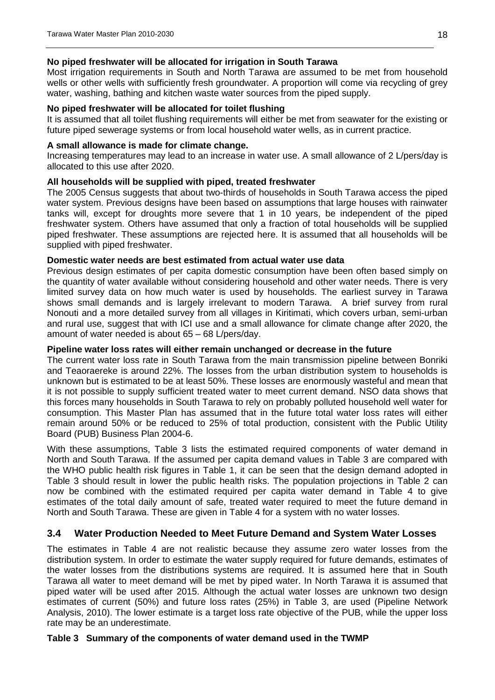#### **No piped freshwater will be allocated for irrigation in South Tarawa**

Most irrigation requirements in South and North Tarawa are assumed to be met from household wells or other wells with sufficiently fresh groundwater. A proportion will come via recycling of grey water, washing, bathing and kitchen waste water sources from the piped supply.

#### **No piped freshwater will be allocated for toilet flushing**

It is assumed that all toilet flushing requirements will either be met from seawater for the existing or future piped sewerage systems or from local household water wells, as in current practice.

#### **A small allowance is made for climate change.**

Increasing temperatures may lead to an increase in water use. A small allowance of 2 L/pers/day is allocated to this use after 2020.

#### **All households will be supplied with piped, treated freshwater**

The 2005 Census suggests that about two-thirds of households in South Tarawa access the piped water system. Previous designs have been based on assumptions that large houses with rainwater tanks will, except for droughts more severe that 1 in 10 years, be independent of the piped freshwater system. Others have assumed that only a fraction of total households will be supplied piped freshwater. These assumptions are rejected here. It is assumed that all households will be supplied with piped freshwater.

#### **Domestic water needs are best estimated from actual water use data**

Previous design estimates of per capita domestic consumption have been often based simply on the quantity of water available without considering household and other water needs. There is very limited survey data on how much water is used by households. The earliest survey in Tarawa shows small demands and is largely irrelevant to modern Tarawa. A brief survey from rural Nonouti and a more detailed survey from all villages in Kiritimati, which covers urban, semi-urban and rural use, suggest that with ICI use and a small allowance for climate change after 2020, the amount of water needed is about 65 – 68 L/pers/day.

#### **Pipeline water loss rates will either remain unchanged or decrease in the future**

The current water loss rate in South Tarawa from the main transmission pipeline between Bonriki and Teaoraereke is around 22%. The losses from the urban distribution system to households is unknown but is estimated to be at least 50%. These losses are enormously wasteful and mean that it is not possible to supply sufficient treated water to meet current demand. NSO data shows that this forces many households in South Tarawa to rely on probably polluted household well water for consumption. This Master Plan has assumed that in the future total water loss rates will either remain around 50% or be reduced to 25% of total production, consistent with the Public Utility Board (PUB) Business Plan 2004-6.

With these assumptions, [Table 3](#page-17-1) lists the estimated required components of water demand in North and South Tarawa. If the assumed per capita demand values in [Table 3](#page-17-1) are compared with the WHO public health risk figures in [Table 1,](#page-15-2) it can be seen that the design demand adopted in [Table 3](#page-17-1) should result in lower the public health risks. The population projections in [Table 2](#page-16-2) can now be combined with the estimated required per capita water demand in [Table 4](#page-18-0) to give estimates of the total daily amount of safe, treated water required to meet the future demand in North and South Tarawa. These are given in [Table 4](#page-18-0) for a system with no water losses.

#### <span id="page-17-0"></span>**3.4 Water Production Needed to Meet Future Demand and System Water Losses**

The estimates in [Table 4](#page-18-0) are not realistic because they assume zero water losses from the distribution system. In order to estimate the water supply required for future demands, estimates of the water losses from the distributions systems are required. It is assumed here that in South Tarawa all water to meet demand will be met by piped water. In North Tarawa it is assumed that piped water will be used after 2015. Although the actual water losses are unknown two design estimates of current (50%) and future loss rates (25%) in [Table 3,](#page-17-1) are used (Pipeline Network Analysis, 2010). The lower estimate is a target loss rate objective of the PUB, while the upper loss rate may be an underestimate.

#### <span id="page-17-1"></span>**Table 3 Summary of the components of water demand used in the TWMP**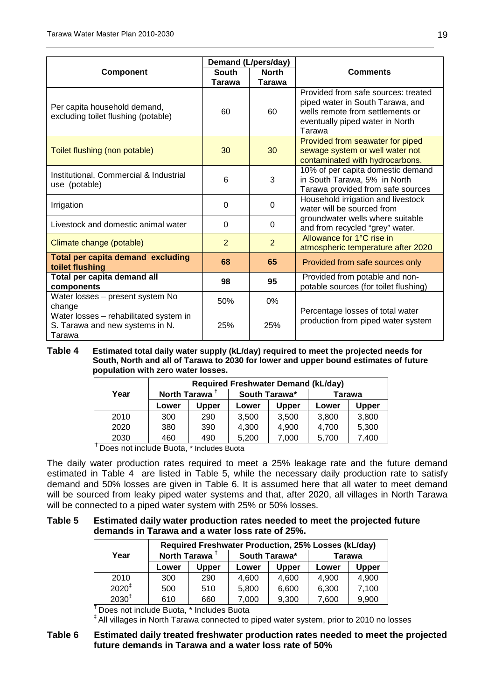|                                                                                     | Demand (L/pers/day) |                |                                                                                                                                                          |  |
|-------------------------------------------------------------------------------------|---------------------|----------------|----------------------------------------------------------------------------------------------------------------------------------------------------------|--|
| <b>Component</b>                                                                    | <b>South</b>        | <b>North</b>   | <b>Comments</b>                                                                                                                                          |  |
|                                                                                     | <b>Tarawa</b>       | Tarawa         |                                                                                                                                                          |  |
| Per capita household demand,<br>excluding toilet flushing (potable)                 | 60                  | 60             | Provided from safe sources: treated<br>piped water in South Tarawa, and<br>wells remote from settlements or<br>eventually piped water in North<br>Tarawa |  |
| Toilet flushing (non potable)                                                       | 30                  | 30             | Provided from seawater for piped<br>sewage system or well water not<br>contaminated with hydrocarbons.                                                   |  |
| Institutional, Commercial & Industrial<br>use (potable)                             | 6                   | 3              | 10% of per capita domestic demand<br>in South Tarawa, 5% in North<br>Tarawa provided from safe sources                                                   |  |
| Irrigation                                                                          | $\Omega$            | 0              | Household irrigation and livestock<br>water will be sourced from                                                                                         |  |
| Livestock and domestic animal water                                                 | $\Omega$            | $\Omega$       | groundwater wells where suitable<br>and from recycled "grey" water.                                                                                      |  |
| Climate change (potable)                                                            | $\overline{2}$      | $\overline{2}$ | Allowance for 1 <sup>o</sup> C rise in<br>atmospheric temperature after 2020                                                                             |  |
| Total per capita demand excluding<br>toilet flushing                                | 68                  | 65             | Provided from safe sources only                                                                                                                          |  |
| Total per capita demand all<br>components                                           | 98                  | 95             | Provided from potable and non-<br>potable sources (for toilet flushing)                                                                                  |  |
| Water losses - present system No<br>change                                          | 50%                 | $0\%$          |                                                                                                                                                          |  |
| Water losses - rehabilitated system in<br>S. Tarawa and new systems in N.<br>Tarawa | 25%                 | 25%            | Percentage losses of total water<br>production from piped water system                                                                                   |  |

<span id="page-18-0"></span>**Table 4 Estimated total daily water supply (kL/day) required to meet the projected needs for South, North and all of Tarawa to 2030 for lower and upper bound estimates of future population with zero water losses.**

|      | <b>Required Freshwater Demand (kL/day)</b> |       |               |              |        |       |  |  |
|------|--------------------------------------------|-------|---------------|--------------|--------|-------|--|--|
| Year | North Tarawa                               |       | South Tarawa* |              | Tarawa |       |  |  |
|      | Lower                                      | Upper | Lower         | <b>Upper</b> | Lower  | Upper |  |  |
| 2010 | 300                                        | 290   | 3.500         | 3.500        | 3,800  | 3,800 |  |  |
| 2020 | 380                                        | 390   | 4,300         | 4.900        | 4.700  | 5,300 |  |  |
| 2030 | 460                                        | 490   | 5,200         | 7,000        | 5,700  | 7.400 |  |  |

**†** Does not include Buota, \* Includes Buota

The daily water production rates required to meet a 25% leakage rate and the future demand estimated in [Table](#page-18-0) 4 are listed in [Table 5,](#page-18-1) while the necessary daily production rate to satisfy demand and 50% losses are given in [Table 6.](#page-18-2) It is assumed here that all water to meet demand will be sourced from leaky piped water systems and that, after 2020, all villages in North Tarawa will be connected to a piped water system with 25% or 50% losses.

#### <span id="page-18-1"></span>**Table 5 Estimated daily water production rates needed to meet the projected future demands in Tarawa and a water loss rate of 25%.**

|                   | Required Freshwater Production, 25% Losses (kL/day) |              |               |              |        |              |  |  |
|-------------------|-----------------------------------------------------|--------------|---------------|--------------|--------|--------------|--|--|
| Year              | North Tarawa <sup>1</sup>                           |              | South Tarawa* |              | Tarawa |              |  |  |
|                   | Lower                                               | <b>Upper</b> | Lower         | <b>Upper</b> | Lower  | <b>Upper</b> |  |  |
| 2010              | 300                                                 | 290          | 4.600         | 4.600        | 4.900  | 4.900        |  |  |
| $2020^{\ddagger}$ | 500                                                 | 510          | 5.800         | 6.600        | 6.300  | 7.100        |  |  |
| $2030^{\ddagger}$ | 610                                                 | 660          | 7.000         | 9,300        | 7,600  | 9,900        |  |  |

**†** Does not include Buota, \* Includes Buota

‡ All villages in North Tarawa connected to piped water system, prior to 2010 no losses

#### <span id="page-18-2"></span>**Table 6 Estimated daily treated freshwater production rates needed to meet the projected future demands in Tarawa and a water loss rate of 50%**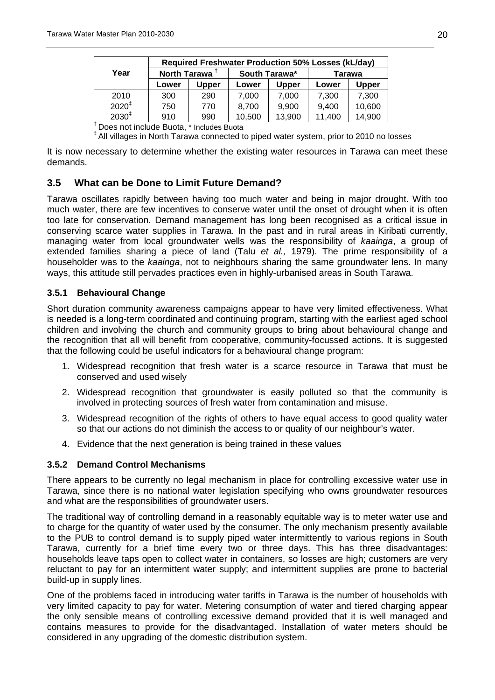|                   | <b>Required Freshwater Production 50% Losses (kL/day)</b> |              |               |              |        |        |  |  |
|-------------------|-----------------------------------------------------------|--------------|---------------|--------------|--------|--------|--|--|
| Year              | North Tarawa                                              |              | South Tarawa* |              | Tarawa |        |  |  |
|                   | Lower                                                     | <b>Upper</b> | Lower         | <b>Upper</b> | Lower  | Upper  |  |  |
| 2010              | 300                                                       | 290          | 7,000         | 7,000        | 7,300  | 7,300  |  |  |
| $2020^{\ddagger}$ | 750                                                       | 770          | 8,700         | 9,900        | 9,400  | 10,600 |  |  |
| $2030^{\ddagger}$ | 910                                                       | 990          | 10,500        | 13,900       | 11,400 | 14,900 |  |  |

**†** Does not include Buota, \* Includes Buota

‡ All villages in North Tarawa connected to piped water system, prior to 2010 no losses

It is now necessary to determine whether the existing water resources in Tarawa can meet these demands.

#### <span id="page-19-0"></span>**3.5 What can be Done to Limit Future Demand?**

Tarawa oscillates rapidly between having too much water and being in major drought. With too much water, there are few incentives to conserve water until the onset of drought when it is often too late for conservation. Demand management has long been recognised as a critical issue in conserving scarce water supplies in Tarawa. In the past and in rural areas in Kiribati currently, managing water from local groundwater wells was the responsibility of *kaainga*, a group of extended families sharing a piece of land (Talu *et al.,* 1979). The prime responsibility of a householder was to the *kaainga*, not to neighbours sharing the same groundwater lens. In many ways, this attitude still pervades practices even in highly-urbanised areas in South Tarawa.

#### <span id="page-19-1"></span>**3.5.1 Behavioural Change**

Short duration community awareness campaigns appear to have very limited effectiveness. What is needed is a long-term coordinated and continuing program, starting with the earliest aged school children and involving the church and community groups to bring about behavioural change and the recognition that all will benefit from cooperative, community-focussed actions. It is suggested that the following could be useful indicators for a behavioural change program:

- 1. Widespread recognition that fresh water is a scarce resource in Tarawa that must be conserved and used wisely
- 2. Widespread recognition that groundwater is easily polluted so that the community is involved in protecting sources of fresh water from contamination and misuse.
- 3. Widespread recognition of the rights of others to have equal access to good quality water so that our actions do not diminish the access to or quality of our neighbour's water.
- 4. Evidence that the next generation is being trained in these values

#### <span id="page-19-2"></span>**3.5.2 Demand Control Mechanisms**

There appears to be currently no legal mechanism in place for controlling excessive water use in Tarawa, since there is no national water legislation specifying who owns groundwater resources and what are the responsibilities of groundwater users.

The traditional way of controlling demand in a reasonably equitable way is to meter water use and to charge for the quantity of water used by the consumer. The only mechanism presently available to the PUB to control demand is to supply piped water intermittently to various regions in South Tarawa, currently for a brief time every two or three days. This has three disadvantages: households leave taps open to collect water in containers, so losses are high; customers are very reluctant to pay for an intermittent water supply; and intermittent supplies are prone to bacterial build-up in supply lines.

One of the problems faced in introducing water tariffs in Tarawa is the number of households with very limited capacity to pay for water. Metering consumption of water and tiered charging appear the only sensible means of controlling excessive demand provided that it is well managed and contains measures to provide for the disadvantaged. Installation of water meters should be considered in any upgrading of the domestic distribution system.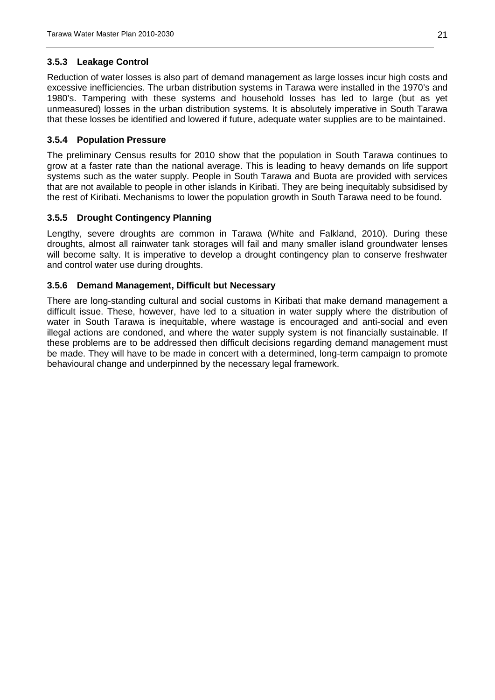#### <span id="page-20-0"></span>**3.5.3 Leakage Control**

Reduction of water losses is also part of demand management as large losses incur high costs and excessive inefficiencies. The urban distribution systems in Tarawa were installed in the 1970's and 1980's. Tampering with these systems and household losses has led to large (but as yet unmeasured) losses in the urban distribution systems. It is absolutely imperative in South Tarawa that these losses be identified and lowered if future, adequate water supplies are to be maintained.

#### <span id="page-20-1"></span>**3.5.4 Population Pressure**

The preliminary Census results for 2010 show that the population in South Tarawa continues to grow at a faster rate than the national average. This is leading to heavy demands on life support systems such as the water supply. People in South Tarawa and Buota are provided with services that are not available to people in other islands in Kiribati. They are being inequitably subsidised by the rest of Kiribati. Mechanisms to lower the population growth in South Tarawa need to be found.

#### <span id="page-20-2"></span>**3.5.5 Drought Contingency Planning**

Lengthy, severe droughts are common in Tarawa (White and Falkland, 2010). During these droughts, almost all rainwater tank storages will fail and many smaller island groundwater lenses will become salty. It is imperative to develop a drought contingency plan to conserve freshwater and control water use during droughts.

#### <span id="page-20-3"></span>**3.5.6 Demand Management, Difficult but Necessary**

There are long-standing cultural and social customs in Kiribati that make demand management a difficult issue. These, however, have led to a situation in water supply where the distribution of water in South Tarawa is inequitable, where wastage is encouraged and anti-social and even illegal actions are condoned, and where the water supply system is not financially sustainable. If these problems are to be addressed then difficult decisions regarding demand management must be made. They will have to be made in concert with a determined, long-term campaign to promote behavioural change and underpinned by the necessary legal framework.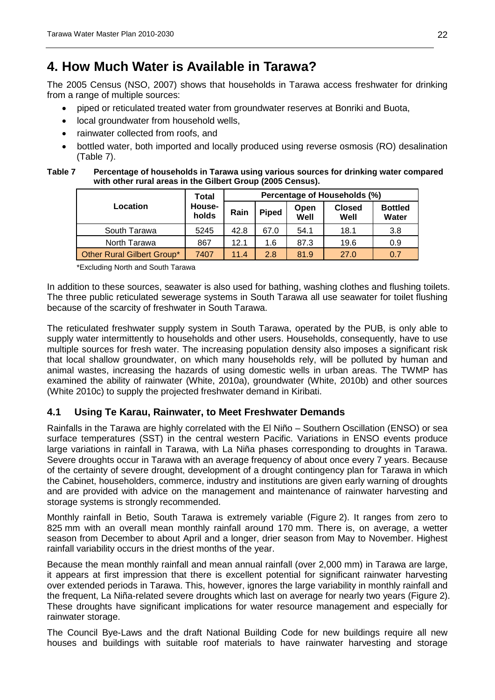## <span id="page-21-0"></span>**4. How Much Water is Available in Tarawa?**

The 2005 Census (NSO, 2007) shows that households in Tarawa access freshwater for drinking from a range of multiple sources:

- piped or reticulated treated water from groundwater reserves at Bonriki and Buota,
- local groundwater from household wells,
- rainwater collected from roofs, and
- bottled water, both imported and locally produced using reverse osmosis (RO) desalination [\(Table](#page-21-2) 7).
- <span id="page-21-2"></span>**Table 7 Percentage of households in Tarawa using various sources for drinking water compared with other rural areas in the Gilbert Group (2005 Census).**

|                            | <b>Total</b>           | Percentage of Households (%) |              |              |                       |                         |  |
|----------------------------|------------------------|------------------------------|--------------|--------------|-----------------------|-------------------------|--|
| Location                   | <b>House-</b><br>holds | Rain                         | <b>Piped</b> | Open<br>Well | <b>Closed</b><br>Well | <b>Bottled</b><br>Water |  |
| South Tarawa               | 5245                   | 42.8                         | 67.0         | 54.1         | 18.1                  | 3.8                     |  |
| North Tarawa               | 867                    | 12.1                         | 1.6          | 87.3         | 19.6                  | 0.9                     |  |
| Other Rural Gilbert Group* | 7407                   | 11.4                         | 2.8          | 81.9         | 27.0                  | 0.7                     |  |

\*Excluding North and South Tarawa

In addition to these sources, seawater is also used for bathing, washing clothes and flushing toilets. The three public reticulated sewerage systems in South Tarawa all use seawater for toilet flushing because of the scarcity of freshwater in South Tarawa.

The reticulated freshwater supply system in South Tarawa, operated by the PUB, is only able to supply water intermittently to households and other users. Households, consequently, have to use multiple sources for fresh water. The increasing population density also imposes a significant risk that local shallow groundwater, on which many households rely, will be polluted by human and animal wastes, increasing the hazards of using domestic wells in urban areas. The TWMP has examined the ability of rainwater (White, 2010a), groundwater (White, 2010b) and other sources (White 2010c) to supply the projected freshwater demand in Kiribati.

#### <span id="page-21-1"></span>**4.1 Using Te Karau, Rainwater, to Meet Freshwater Demands**

Rainfalls in the Tarawa are highly correlated with the El Niño – Southern Oscillation (ENSO) or sea surface temperatures (SST) in the central western Pacific. Variations in ENSO events produce large variations in rainfall in Tarawa, with La Niña phases corresponding to droughts in Tarawa. Severe droughts occur in Tarawa with an average frequency of about once every 7 years. Because of the certainty of severe drought, development of a drought contingency plan for Tarawa in which the Cabinet, householders, commerce, industry and institutions are given early warning of droughts and are provided with advice on the management and maintenance of rainwater harvesting and storage systems is strongly recommended.

Monthly rainfall in Betio, South Tarawa is extremely variable [\(Figure](#page-22-1) 2). It ranges from zero to 825 mm with an overall mean monthly rainfall around 170 mm. There is, on average, a wetter season from December to about April and a longer, drier season from May to November. Highest rainfall variability occurs in the driest months of the year.

Because the mean monthly rainfall and mean annual rainfall (over 2,000 mm) in Tarawa are large, it appears at first impression that there is excellent potential for significant rainwater harvesting over extended periods in Tarawa. This, however, ignores the large variability in monthly rainfall and the frequent, La Niña-related severe droughts which last on average for nearly two years [\(Figure](#page-22-1) 2). These droughts have significant implications for water resource management and especially for rainwater storage.

The Council Bye-Laws and the draft National Building Code for new buildings require all new houses and buildings with suitable roof materials to have rainwater harvesting and storage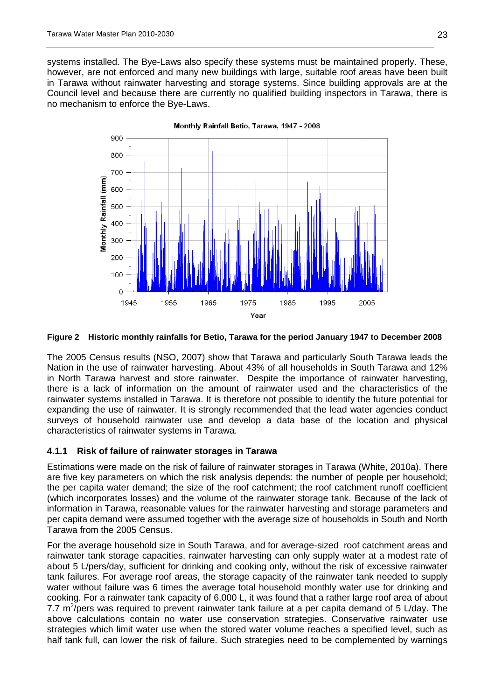systems installed. The Bye-Laws also specify these systems must be maintained properly. These, however, are not enforced and many new buildings with large, suitable roof areas have been built in Tarawa without rainwater harvesting and storage systems. Since building approvals are at the Council level and because there are currently no qualified building inspectors in Tarawa, there is no mechanism to enforce the Bye-Laws.



Monthly Rainfall Betio, Tarawa, 1947 - 2008

#### <span id="page-22-1"></span>**Figure 2 Historic monthly rainfalls for Betio, Tarawa for the period January 1947 to December 2008**

The 2005 Census results (NSO, 2007) show that Tarawa and particularly South Tarawa leads the Nation in the use of rainwater harvesting. About 43% of all households in South Tarawa and 12% in North Tarawa harvest and store rainwater. Despite the importance of rainwater harvesting, there is a lack of information on the amount of rainwater used and the characteristics of the rainwater systems installed in Tarawa. It is therefore not possible to identify the future potential for expanding the use of rainwater. It is strongly recommended that the lead water agencies conduct surveys of household rainwater use and develop a data base of the location and physical characteristics of rainwater systems in Tarawa.

#### <span id="page-22-0"></span>**4.1.1 Risk of failure of rainwater storages in Tarawa**

Estimations were made on the risk of failure of rainwater storages in Tarawa (White, 2010a). There are five key parameters on which the risk analysis depends: the number of people per household; the per capita water demand; the size of the roof catchment; the roof catchment runoff coefficient (which incorporates losses) and the volume of the rainwater storage tank. Because of the lack of information in Tarawa, reasonable values for the rainwater harvesting and storage parameters and per capita demand were assumed together with the average size of households in South and North Tarawa from the 2005 Census.

For the average household size in South Tarawa, and for average-sized roof catchment areas and rainwater tank storage capacities, rainwater harvesting can only supply water at a modest rate of about 5 L/pers/day, sufficient for drinking and cooking only, without the risk of excessive rainwater tank failures. For average roof areas, the storage capacity of the rainwater tank needed to supply water without failure was 6 times the average total household monthly water use for drinking and cooking. For a rainwater tank capacity of 6,000 L, it was found that a rather large roof area of about 7.7 m<sup>2</sup>/pers was required to prevent rainwater tank failure at a per capita demand of 5 L/day. The above calculations contain no water use conservation strategies. Conservative rainwater use strategies which limit water use when the stored water volume reaches a specified level, such as half tank full, can lower the risk of failure. Such strategies need to be complemented by warnings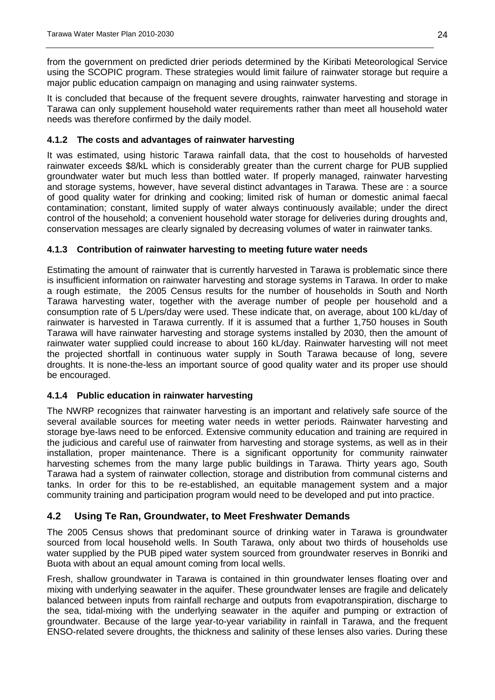from the government on predicted drier periods determined by the Kiribati Meteorological Service using the SCOPIC program. These strategies would limit failure of rainwater storage but require a major public education campaign on managing and using rainwater systems.

It is concluded that because of the frequent severe droughts, rainwater harvesting and storage in Tarawa can only supplement household water requirements rather than meet all household water needs was therefore confirmed by the daily model.

#### <span id="page-23-0"></span>**4.1.2 The costs and advantages of rainwater harvesting**

It was estimated, using historic Tarawa rainfall data, that the cost to households of harvested rainwater exceeds \$8/kL which is considerably greater than the current charge for PUB supplied groundwater water but much less than bottled water. If properly managed, rainwater harvesting and storage systems, however, have several distinct advantages in Tarawa. These are : a source of good quality water for drinking and cooking; limited risk of human or domestic animal faecal contamination; constant, limited supply of water always continuously available; under the direct control of the household; a convenient household water storage for deliveries during droughts and, conservation messages are clearly signaled by decreasing volumes of water in rainwater tanks.

#### <span id="page-23-1"></span>**4.1.3 Contribution of rainwater harvesting to meeting future water needs**

Estimating the amount of rainwater that is currently harvested in Tarawa is problematic since there is insufficient information on rainwater harvesting and storage systems in Tarawa. In order to make a rough estimate, the 2005 Census results for the number of households in South and North Tarawa harvesting water, together with the average number of people per household and a consumption rate of 5 L/pers/day were used. These indicate that, on average, about 100 kL/day of rainwater is harvested in Tarawa currently. If it is assumed that a further 1,750 houses in South Tarawa will have rainwater harvesting and storage systems installed by 2030, then the amount of rainwater water supplied could increase to about 160 kL/day. Rainwater harvesting will not meet the projected shortfall in continuous water supply in South Tarawa because of long, severe droughts. It is none-the-less an important source of good quality water and its proper use should be encouraged.

#### <span id="page-23-2"></span>**4.1.4 Public education in rainwater harvesting**

The NWRP recognizes that rainwater harvesting is an important and relatively safe source of the several available sources for meeting water needs in wetter periods. Rainwater harvesting and storage bye-laws need to be enforced. Extensive community education and training are required in the judicious and careful use of rainwater from harvesting and storage systems, as well as in their installation, proper maintenance. There is a significant opportunity for community rainwater harvesting schemes from the many large public buildings in Tarawa. Thirty years ago, South Tarawa had a system of rainwater collection, storage and distribution from communal cisterns and tanks. In order for this to be re-established, an equitable management system and a major community training and participation program would need to be developed and put into practice.

#### <span id="page-23-3"></span>**4.2 Using Te Ran, Groundwater, to Meet Freshwater Demands**

The 2005 Census shows that predominant source of drinking water in Tarawa is groundwater sourced from local household wells. In South Tarawa, only about two thirds of households use water supplied by the PUB piped water system sourced from groundwater reserves in Bonriki and Buota with about an equal amount coming from local wells.

Fresh, shallow groundwater in Tarawa is contained in thin groundwater lenses floating over and mixing with underlying seawater in the aquifer. These groundwater lenses are fragile and delicately balanced between inputs from rainfall recharge and outputs from evapotranspiration, discharge to the sea, tidal-mixing with the underlying seawater in the aquifer and pumping or extraction of groundwater. Because of the large year-to-year variability in rainfall in Tarawa, and the frequent ENSO-related severe droughts, the thickness and salinity of these lenses also varies. During these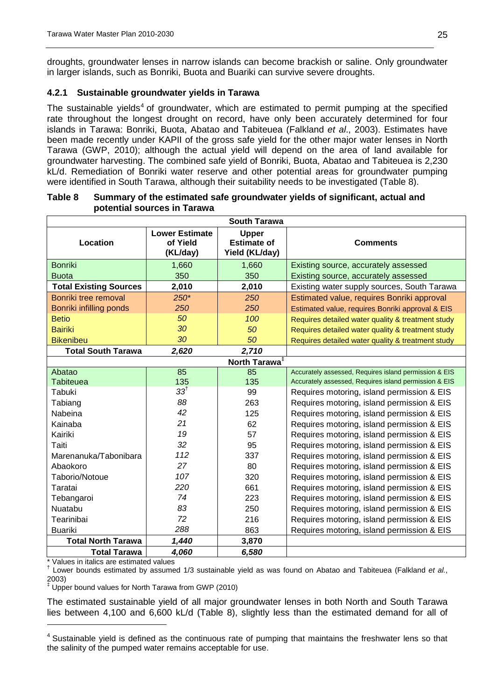droughts, groundwater lenses in narrow islands can become brackish or saline. Only groundwater in larger islands, such as Bonriki, Buota and Buariki can survive severe droughts.

#### <span id="page-24-0"></span>**4.2.1 Sustainable groundwater yields in Tarawa**

The sustainable yields<sup>[4](#page-24-2)</sup> of groundwater, which are estimated to permit pumping at the specified rate throughout the longest drought on record, have only been accurately determined for four islands in Tarawa: Bonriki, Buota, Abatao and Tabiteuea (Falkland *et al*., 2003). Estimates have been made recently under KAPII of the gross safe yield for the other major water lenses in North Tarawa (GWP, 2010); although the actual yield will depend on the area of land available for groundwater harvesting. The combined safe yield of Bonriki, Buota, Abatao and Tabiteuea is 2,230 kL/d. Remediation of Bonriki water reserve and other potential areas for groundwater pumping were identified in South Tarawa, although their suitability needs to be investigated [\(Table 8\)](#page-24-1).

|                               |                                               | <b>South Tarawa</b>                                  |                                                       |
|-------------------------------|-----------------------------------------------|------------------------------------------------------|-------------------------------------------------------|
| Location                      | <b>Lower Estimate</b><br>of Yield<br>(KL/day) | <b>Upper</b><br><b>Estimate of</b><br>Yield (KL/day) | <b>Comments</b>                                       |
| <b>Bonriki</b>                | 1,660                                         | 1,660                                                | Existing source, accurately assessed                  |
| <b>Buota</b>                  | 350                                           | 350                                                  | Existing source, accurately assessed                  |
| <b>Total Existing Sources</b> | 2,010                                         | 2,010                                                | Existing water supply sources, South Tarawa           |
| Bonriki tree removal          | $250*$                                        | 250                                                  | Estimated value, requires Bonriki approval            |
| Bonriki infilling ponds       | 250                                           | 250                                                  | Estimated value, requires Bonriki approval & EIS      |
| <b>Betio</b>                  | 50                                            | 100                                                  | Requires detailed water quality & treatment study     |
| <b>Bairiki</b>                | 30                                            | 50                                                   | Requires detailed water quality & treatment study     |
| <b>Bikenibeu</b>              | 30                                            | 50                                                   | Requires detailed water quality & treatment study     |
| <b>Total South Tarawa</b>     | 2,620                                         | 2,710                                                |                                                       |
|                               |                                               | North Tarawa <sup>‡</sup>                            |                                                       |
| Abatao                        | 85                                            | 85                                                   | Accurately assessed, Requires island permission & EIS |
| Tabiteuea                     | 135                                           | 135                                                  | Accurately assessed, Requires island permission & EIS |
| Tabuki                        | 33 <sup>†</sup>                               | 99                                                   | Requires motoring, island permission & EIS            |
| Tabiang                       | 88                                            | 263                                                  | Requires motoring, island permission & EIS            |
| Nabeina                       | 42                                            | 125                                                  | Requires motoring, island permission & EIS            |
| Kainaba                       | 21                                            | 62                                                   | Requires motoring, island permission & EIS            |
| Kairiki                       | 19                                            | 57                                                   | Requires motoring, island permission & EIS            |
| Taiti                         | 32                                            | 95                                                   | Requires motoring, island permission & EIS            |
| Marenanuka/Tabonibara         | 112                                           | 337                                                  | Requires motoring, island permission & EIS            |
| Abaokoro                      | 27                                            | 80                                                   | Requires motoring, island permission & EIS            |
| Taborio/Notoue                | 107                                           | 320                                                  | Requires motoring, island permission & EIS            |
| Taratai                       | 220                                           | 661                                                  | Requires motoring, island permission & EIS            |
| Tebangaroi                    | 74                                            | 223                                                  | Requires motoring, island permission & EIS            |
| Nuatabu                       | 83                                            | 250                                                  | Requires motoring, island permission & EIS            |
| Tearinibai                    | 72                                            | 216                                                  | Requires motoring, island permission & EIS            |
| <b>Buariki</b>                | 288                                           | 863                                                  | Requires motoring, island permission & EIS            |
| <b>Total North Tarawa</b>     | 1,440                                         | 3,870                                                |                                                       |
| <b>Total Tarawa</b>           | 4,060                                         | 6,580                                                |                                                       |

#### <span id="page-24-1"></span>**Table 8 Summary of the estimated safe groundwater yields of significant, actual and potential sources in Tarawa**

\* Values in italics are estimated values

-

† Lower bounds estimated by assumed 1/3 sustainable yield as was found on Abatao and Tabiteuea (Falkland *et al.*, 2003)

‡ Upper bound values for North Tarawa from GWP (2010)

The estimated sustainable yield of all major groundwater lenses in both North and South Tarawa lies between 4,100 and 6,600 kL/d [\(Table 8\)](#page-24-1), slightly less than the estimated demand for all of

<span id="page-24-2"></span><sup>&</sup>lt;sup>4</sup> Sustainable yield is defined as the continuous rate of pumping that maintains the freshwater lens so that the salinity of the pumped water remains acceptable for use.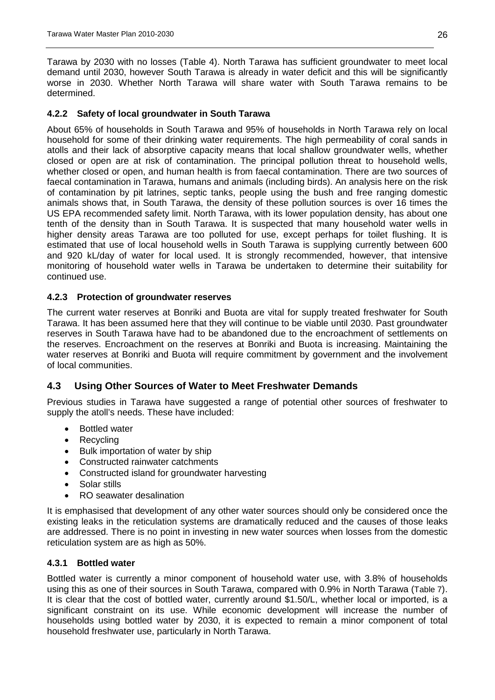Tarawa by 2030 with no losses [\(Table 4\)](#page-18-0). North Tarawa has sufficient groundwater to meet local demand until 2030, however South Tarawa is already in water deficit and this will be significantly worse in 2030. Whether North Tarawa will share water with South Tarawa remains to be determined.

#### <span id="page-25-0"></span>**4.2.2 Safety of local groundwater in South Tarawa**

About 65% of households in South Tarawa and 95% of households in North Tarawa rely on local household for some of their drinking water requirements. The high permeability of coral sands in atolls and their lack of absorptive capacity means that local shallow groundwater wells, whether closed or open are at risk of contamination. The principal pollution threat to household wells, whether closed or open, and human health is from faecal contamination. There are two sources of faecal contamination in Tarawa, humans and animals (including birds). An analysis here on the risk of contamination by pit latrines, septic tanks, people using the bush and free ranging domestic animals shows that, in South Tarawa, the density of these pollution sources is over 16 times the US EPA recommended safety limit. North Tarawa, with its lower population density, has about one tenth of the density than in South Tarawa. It is suspected that many household water wells in higher density areas Tarawa are too polluted for use, except perhaps for toilet flushing. It is estimated that use of local household wells in South Tarawa is supplying currently between 600 and 920 kL/day of water for local used. It is strongly recommended, however, that intensive monitoring of household water wells in Tarawa be undertaken to determine their suitability for continued use.

#### <span id="page-25-1"></span>**4.2.3 Protection of groundwater reserves**

The current water reserves at Bonriki and Buota are vital for supply treated freshwater for South Tarawa. It has been assumed here that they will continue to be viable until 2030. Past groundwater reserves in South Tarawa have had to be abandoned due to the encroachment of settlements on the reserves. Encroachment on the reserves at Bonriki and Buota is increasing. Maintaining the water reserves at Bonriki and Buota will require commitment by government and the involvement of local communities.

#### <span id="page-25-2"></span>**4.3 Using Other Sources of Water to Meet Freshwater Demands**

Previous studies in Tarawa have suggested a range of potential other sources of freshwater to supply the atoll's needs. These have included:

- Bottled water
- Recycling
- Bulk importation of water by ship
- Constructed rainwater catchments
- Constructed island for groundwater harvesting
- Solar stills
- RO seawater desalination

It is emphasised that development of any other water sources should only be considered once the existing leaks in the reticulation systems are dramatically reduced and the causes of those leaks are addressed. There is no point in investing in new water sources when losses from the domestic reticulation system are as high as 50%.

#### <span id="page-25-3"></span>**4.3.1 Bottled water**

Bottled water is currently a minor component of household water use, with 3.8% of households using this as one of their sources in South Tarawa, compared with 0.9% in North Tarawa [\(Table](#page-21-2) 7). It is clear that the cost of bottled water, currently around \$1.50/L, whether local or imported, is a significant constraint on its use. While economic development will increase the number of households using bottled water by 2030, it is expected to remain a minor component of total household freshwater use, particularly in North Tarawa.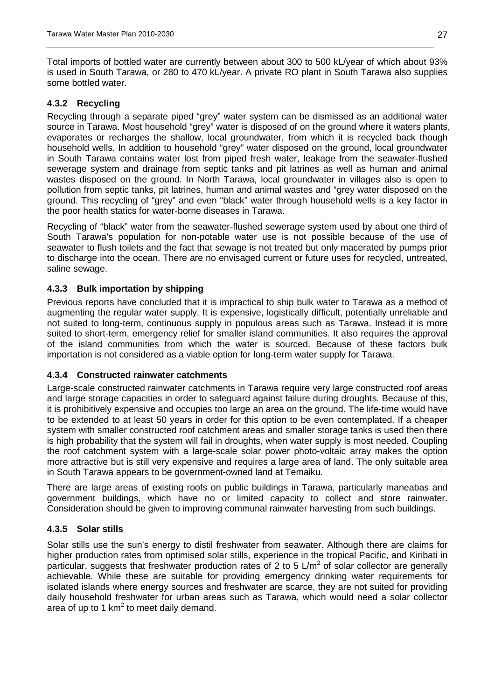Total imports of bottled water are currently between about 300 to 500 kL/year of which about 93% is used in South Tarawa, or 280 to 470 kL/year. A private RO plant in South Tarawa also supplies some bottled water.

#### <span id="page-26-0"></span>**4.3.2 Recycling**

Recycling through a separate piped "grey" water system can be dismissed as an additional water source in Tarawa. Most household "grey" water is disposed of on the ground where it waters plants, evaporates or recharges the shallow, local groundwater, from which it is recycled back though household wells. In addition to household "grey" water disposed on the ground, local groundwater in South Tarawa contains water lost from piped fresh water, leakage from the seawater-flushed sewerage system and drainage from septic tanks and pit latrines as well as human and animal wastes disposed on the ground. In North Tarawa, local groundwater in villages also is open to pollution from septic tanks, pit latrines, human and animal wastes and "grey water disposed on the ground. This recycling of "grey" and even "black" water through household wells is a key factor in the poor health statics for water-borne diseases in Tarawa.

Recycling of "black" water from the seawater-flushed sewerage system used by about one third of South Tarawa's population for non-potable water use is not possible because of the use of seawater to flush toilets and the fact that sewage is not treated but only macerated by pumps prior to discharge into the ocean. There are no envisaged current or future uses for recycled, untreated, saline sewage.

#### <span id="page-26-1"></span>**4.3.3 Bulk importation by shipping**

Previous reports have concluded that it is impractical to ship bulk water to Tarawa as a method of augmenting the regular water supply. It is expensive, logistically difficult, potentially unreliable and not suited to long-term, continuous supply in populous areas such as Tarawa. Instead it is more suited to short-term, emergency relief for smaller island communities. It also requires the approval of the island communities from which the water is sourced. Because of these factors bulk importation is not considered as a viable option for long-term water supply for Tarawa.

#### <span id="page-26-2"></span>**4.3.4 Constructed rainwater catchments**

Large-scale constructed rainwater catchments in Tarawa require very large constructed roof areas and large storage capacities in order to safeguard against failure during droughts. Because of this, it is prohibitively expensive and occupies too large an area on the ground. The life-time would have to be extended to at least 50 years in order for this option to be even contemplated. If a cheaper system with smaller constructed roof catchment areas and smaller storage tanks is used then there is high probability that the system will fail in droughts, when water supply is most needed. Coupling the roof catchment system with a large-scale solar power photo-voltaic array makes the option more attractive but is still very expensive and requires a large area of land. The only suitable area in South Tarawa appears to be government-owned land at Temaiku.

There are large areas of existing roofs on public buildings in Tarawa, particularly maneabas and government buildings, which have no or limited capacity to collect and store rainwater. Consideration should be given to improving communal rainwater harvesting from such buildings.

#### <span id="page-26-3"></span>**4.3.5 Solar stills**

Solar stills use the sun's energy to distil freshwater from seawater. Although there are claims for higher production rates from optimised solar stills, experience in the tropical Pacific, and Kiribati in particular, suggests that freshwater production rates of 2 to 5  $\text{L/m}^2$  of solar collector are generally achievable. While these are suitable for providing emergency drinking water requirements for isolated islands where energy sources and freshwater are scarce, they are not suited for providing daily household freshwater for urban areas such as Tarawa, which would need a solar collector area of up to 1  $km^2$  to meet daily demand.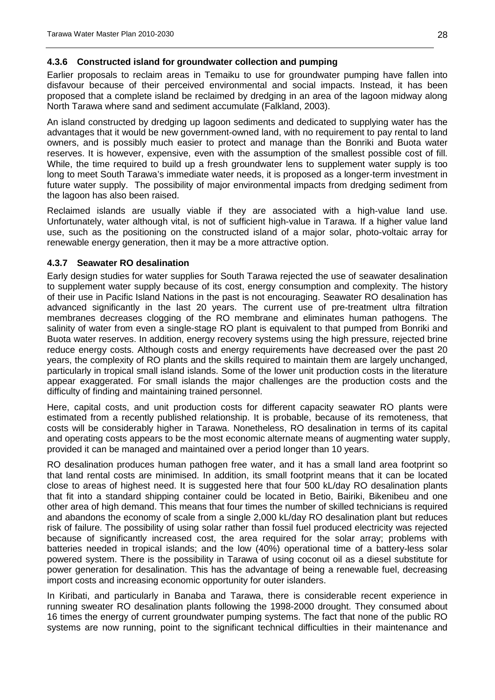#### <span id="page-27-0"></span>**4.3.6 Constructed island for groundwater collection and pumping**

Earlier proposals to reclaim areas in Temaiku to use for groundwater pumping have fallen into disfavour because of their perceived environmental and social impacts. Instead, it has been proposed that a complete island be reclaimed by dredging in an area of the lagoon midway along North Tarawa where sand and sediment accumulate (Falkland, 2003).

An island constructed by dredging up lagoon sediments and dedicated to supplying water has the advantages that it would be new government-owned land, with no requirement to pay rental to land owners, and is possibly much easier to protect and manage than the Bonriki and Buota water reserves. It is however, expensive, even with the assumption of the smallest possible cost of fill. While, the time required to build up a fresh groundwater lens to supplement water supply is too long to meet South Tarawa's immediate water needs, it is proposed as a longer-term investment in future water supply. The possibility of major environmental impacts from dredging sediment from the lagoon has also been raised.

Reclaimed islands are usually viable if they are associated with a high-value land use. Unfortunately, water although vital, is not of sufficient high-value in Tarawa. If a higher value land use, such as the positioning on the constructed island of a major solar, photo-voltaic array for renewable energy generation, then it may be a more attractive option.

#### <span id="page-27-1"></span>**4.3.7 Seawater RO desalination**

Early design studies for water supplies for South Tarawa rejected the use of seawater desalination to supplement water supply because of its cost, energy consumption and complexity. The history of their use in Pacific Island Nations in the past is not encouraging. Seawater RO desalination has advanced significantly in the last 20 years. The current use of pre-treatment ultra filtration membranes decreases clogging of the RO membrane and eliminates human pathogens. The salinity of water from even a single-stage RO plant is equivalent to that pumped from Bonriki and Buota water reserves. In addition, energy recovery systems using the high pressure, rejected brine reduce energy costs. Although costs and energy requirements have decreased over the past 20 years, the complexity of RO plants and the skills required to maintain them are largely unchanged, particularly in tropical small island islands. Some of the lower unit production costs in the literature appear exaggerated. For small islands the major challenges are the production costs and the difficulty of finding and maintaining trained personnel.

Here, capital costs, and unit production costs for different capacity seawater RO plants were estimated from a recently published relationship. It is probable, because of its remoteness, that costs will be considerably higher in Tarawa. Nonetheless, RO desalination in terms of its capital and operating costs appears to be the most economic alternate means of augmenting water supply, provided it can be managed and maintained over a period longer than 10 years.

RO desalination produces human pathogen free water, and it has a small land area footprint so that land rental costs are minimised. In addition, its small footprint means that it can be located close to areas of highest need. It is suggested here that four 500 kL/day RO desalination plants that fit into a standard shipping container could be located in Betio, Bairiki, Bikenibeu and one other area of high demand. This means that four times the number of skilled technicians is required and abandons the economy of scale from a single 2,000 kL/day RO desalination plant but reduces risk of failure. The possibility of using solar rather than fossil fuel produced electricity was rejected because of significantly increased cost, the area required for the solar array; problems with batteries needed in tropical islands; and the low (40%) operational time of a battery-less solar powered system. There is the possibility in Tarawa of using coconut oil as a diesel substitute for power generation for desalination. This has the advantage of being a renewable fuel, decreasing import costs and increasing economic opportunity for outer islanders.

In Kiribati, and particularly in Banaba and Tarawa, there is considerable recent experience in running sweater RO desalination plants following the 1998-2000 drought. They consumed about 16 times the energy of current groundwater pumping systems. The fact that none of the public RO systems are now running, point to the significant technical difficulties in their maintenance and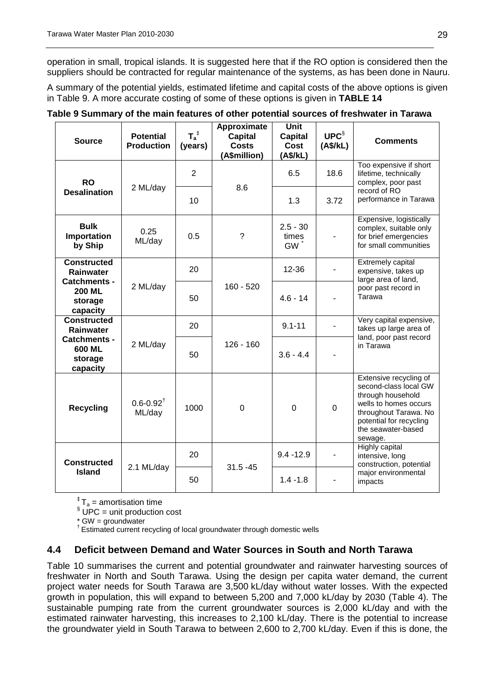operation in small, tropical islands. It is suggested here that if the RO option is considered then the suppliers should be contracted for regular maintenance of the systems, as has been done in Nauru.

A summary of the potential yields, estimated lifetime and capital costs of the above options is given in [Table 9.](#page-28-1) A more accurate costing of some of these options is given in **TABLE 14**

| <b>Source</b>                                               | <b>Potential</b><br><b>Production</b> | $T_a^{\ddag}$<br>(years) | Approximate<br><b>Capital</b><br><b>Costs</b><br>(A\$million) | <b>Unit</b><br><b>Capital</b><br>Cost<br>(A\$/kL) | UPC <sup>§</sup><br>(A\$/kL) | <b>Comments</b>                                                                                                                                                                    |  |
|-------------------------------------------------------------|---------------------------------------|--------------------------|---------------------------------------------------------------|---------------------------------------------------|------------------------------|------------------------------------------------------------------------------------------------------------------------------------------------------------------------------------|--|
| <b>RO</b>                                                   | 2 ML/day                              | $\overline{2}$           | 8.6                                                           | 6.5                                               | 18.6                         | Too expensive if short<br>lifetime, technically<br>complex, poor past                                                                                                              |  |
| <b>Desalination</b>                                         |                                       | 10                       |                                                               | 1.3                                               | 3.72                         | record of RO<br>performance in Tarawa                                                                                                                                              |  |
| <b>Bulk</b><br>Importation<br>by Ship                       | 0.25<br>ML/day                        | 0.5                      | $\tilde{?}$                                                   | $2.5 - 30$<br>times<br><b>GW</b>                  |                              | Expensive, logistically<br>complex, suitable only<br>for brief emergencies<br>for small communities                                                                                |  |
| <b>Constructed</b><br><b>Rainwater</b>                      |                                       | 20                       |                                                               | 12-36                                             |                              | Extremely capital<br>expensive, takes up<br>large area of land,                                                                                                                    |  |
| <b>Catchments -</b><br><b>200 ML</b><br>storage<br>capacity | 2 ML/day                              | 50                       | $160 - 520$                                                   | $4.6 - 14$                                        |                              | poor past record in<br>Tarawa                                                                                                                                                      |  |
| <b>Constructed</b><br><b>Rainwater</b>                      |                                       | 20                       |                                                               | $9.1 - 11$                                        |                              | Very capital expensive,<br>takes up large area of                                                                                                                                  |  |
| <b>Catchments -</b><br>600 ML<br>storage<br>capacity        | 2 ML/day                              | 50                       | $126 - 160$                                                   | $3.6 - 4.4$                                       |                              | land, poor past record<br>in Tarawa                                                                                                                                                |  |
| <b>Recycling</b>                                            | $0.6 - 0.92$ <sup>†</sup><br>ML/day   | 1000                     | $\mathbf 0$                                                   | $\mathbf 0$                                       | $\mathbf 0$                  | Extensive recycling of<br>second-class local GW<br>through household<br>wells to homes occurs<br>throughout Tarawa. No<br>potential for recycling<br>the seawater-based<br>sewage. |  |
| <b>Constructed</b><br><b>Island</b>                         |                                       | 20                       |                                                               | $9.4 - 12.9$                                      | $\overline{\phantom{a}}$     | Highly capital<br>intensive, long<br>construction, potential                                                                                                                       |  |
|                                                             | 2.1 ML/day                            | $31.5 - 45$<br>50        |                                                               | $1.4 - 1.8$                                       |                              | major environmental<br>impacts                                                                                                                                                     |  |

#### <span id="page-28-1"></span>**Table 9 Summary of the main features of other potential sources of freshwater in Tarawa**

 ${}^{\ddagger}$  T<sub>a</sub> = amortisation time

 $\frac{\$}{\text{UPC}}$  = unit production cost<br>\* GW = groundwater

 $<sup>†</sup>$  Estimated current recycling of local groundwater through domestic wells</sup>

#### <span id="page-28-0"></span>**4.4 Deficit between Demand and Water Sources in South and North Tarawa**

[Table 10](#page-29-0) summarises the current and potential groundwater and rainwater harvesting sources of freshwater in North and South Tarawa. Using the design per capita water demand, the current project water needs for South Tarawa are 3,500 kL/day without water losses. With the expected growth in population, this will expand to between 5,200 and 7,000 kL/day by 2030 [\(Table 4\)](#page-18-0). The sustainable pumping rate from the current groundwater sources is 2,000 kL/day and with the estimated rainwater harvesting, this increases to 2,100 kL/day. There is the potential to increase the groundwater yield in South Tarawa to between 2,600 to 2,700 kL/day. Even if this is done, the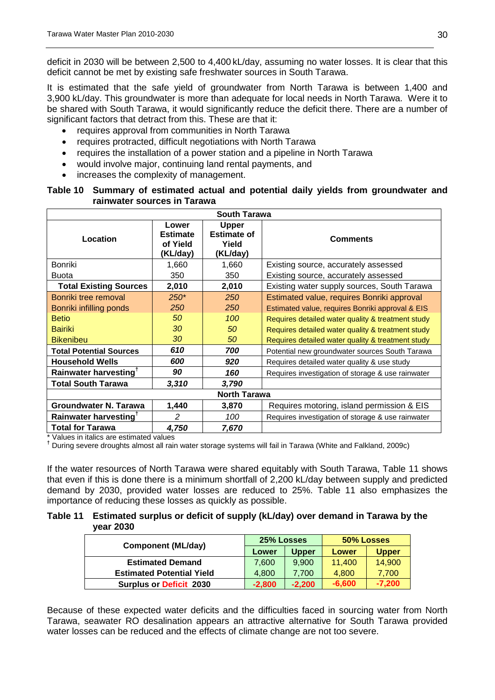deficit in 2030 will be between 2,500 to 4,400 kL/day, assuming no water losses. It is clear that this deficit cannot be met by existing safe freshwater sources in South Tarawa.

It is estimated that the safe yield of groundwater from North Tarawa is between 1,400 and 3,900 kL/day. This groundwater is more than adequate for local needs in North Tarawa. Were it to be shared with South Tarawa, it would significantly reduce the deficit there. There are a number of significant factors that detract from this. These are that it:

- requires approval from communities in North Tarawa
- requires protracted, difficult negotiations with North Tarawa
- requires the installation of a power station and a pipeline in North Tarawa
- would involve major, continuing land rental payments, and
- increases the complexity of management.

#### <span id="page-29-0"></span>**Table 10 Summary of estimated actual and potential daily yields from groundwater and rainwater sources in Tarawa**

| <b>South Tarawa</b>               |                                                  |                                                         |                                                   |  |  |  |  |
|-----------------------------------|--------------------------------------------------|---------------------------------------------------------|---------------------------------------------------|--|--|--|--|
| Location                          | Lower<br><b>Estimate</b><br>of Yield<br>(KL/day) | <b>Upper</b><br><b>Estimate of</b><br>Yield<br>(KL/day) | <b>Comments</b>                                   |  |  |  |  |
| Bonriki                           | 1,660                                            | 1,660                                                   | Existing source, accurately assessed              |  |  |  |  |
| <b>Buota</b>                      | 350                                              | 350                                                     | Existing source, accurately assessed              |  |  |  |  |
| <b>Total Existing Sources</b>     | 2,010                                            | 2,010                                                   | Existing water supply sources, South Tarawa       |  |  |  |  |
| Bonriki tree removal              | $250*$                                           | <b>250</b>                                              | Estimated value, requires Bonriki approval        |  |  |  |  |
| Bonriki infilling ponds           | 250                                              | 250                                                     | Estimated value, requires Bonriki approval & EIS  |  |  |  |  |
| <b>Betio</b>                      | 50                                               | 100                                                     | Requires detailed water quality & treatment study |  |  |  |  |
| <b>Bairiki</b>                    | 30                                               | 50                                                      | Requires detailed water quality & treatment study |  |  |  |  |
| <b>Bikenibeu</b>                  | 30                                               | 50                                                      | Requires detailed water quality & treatment study |  |  |  |  |
| <b>Total Potential Sources</b>    | 610                                              | 700                                                     | Potential new groundwater sources South Tarawa    |  |  |  |  |
| <b>Household Wells</b>            | 600                                              | 920                                                     | Requires detailed water quality & use study       |  |  |  |  |
| Rainwater harvesting <sup>T</sup> | 90                                               | 160                                                     | Requires investigation of storage & use rainwater |  |  |  |  |
| <b>Total South Tarawa</b>         | 3,310                                            | 3,790                                                   |                                                   |  |  |  |  |
|                                   |                                                  | <b>North Tarawa</b>                                     |                                                   |  |  |  |  |
| <b>Groundwater N. Tarawa</b>      | 1,440                                            | 3,870                                                   | Requires motoring, island permission & EIS        |  |  |  |  |
| Rainwater harvesting <sup>T</sup> | $\mathcal{P}$                                    | 100                                                     | Requires investigation of storage & use rainwater |  |  |  |  |
| <b>Total for Tarawa</b>           | 4,750                                            | 7,670                                                   |                                                   |  |  |  |  |

\* Values in italics are estimated values

**†** During severe droughts almost all rain water storage systems will fail in Tarawa (White and Falkland, 2009c)

If the water resources of North Tarawa were shared equitably with South Tarawa, [Table 11](#page-29-1) shows that even if this is done there is a minimum shortfall of 2,200 kL/day between supply and predicted demand by 2030, provided water losses are reduced to 25%. [Table 11](#page-29-1) also emphasizes the importance of reducing these losses as quickly as possible.

#### <span id="page-29-1"></span>**Table 11 Estimated surplus or deficit of supply (kL/day) over demand in Tarawa by the year 2030**

| <b>Component (ML/day)</b>        | 25% Losses |              | 50% Losses |              |
|----------------------------------|------------|--------------|------------|--------------|
|                                  | Lower      | <b>Upper</b> | Lower      | <b>Upper</b> |
| <b>Estimated Demand</b>          | 7.600      | 9.900        | 11.400     | 14,900       |
| <b>Estimated Potential Yield</b> | 4.800      | 7.700        | 4.800      | 7.700        |
| <b>Surplus or Deficit 2030</b>   | $-2.800$   | $-2.200$     | $-6,600$   | $-7,200$     |

Because of these expected water deficits and the difficulties faced in sourcing water from North Tarawa, seawater RO desalination appears an attractive alternative for South Tarawa provided water losses can be reduced and the effects of climate change are not too severe.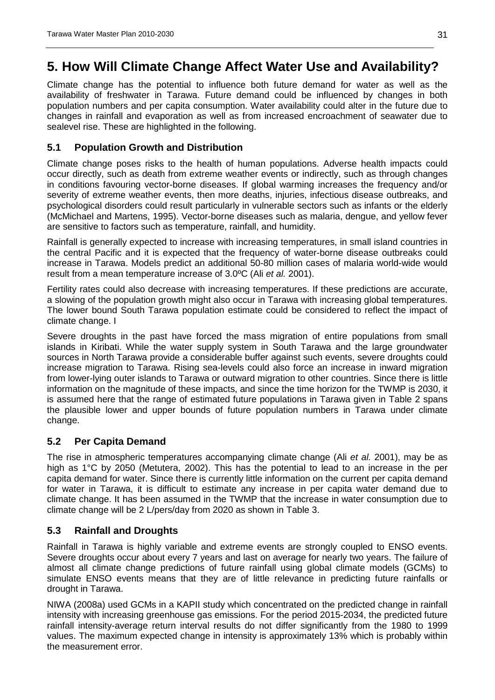## <span id="page-30-0"></span>**5. How Will Climate Change Affect Water Use and Availability?**

Climate change has the potential to influence both future demand for water as well as the availability of freshwater in Tarawa. Future demand could be influenced by changes in both population numbers and per capita consumption. Water availability could alter in the future due to changes in rainfall and evaporation as well as from increased encroachment of seawater due to sealevel rise. These are highlighted in the following.

### <span id="page-30-1"></span>**5.1 Population Growth and Distribution**

Climate change poses risks to the health of human populations. Adverse health impacts could occur directly, such as death from extreme weather events or indirectly, such as through changes in conditions favouring vector-borne diseases. If global warming increases the frequency and/or severity of extreme weather events, then more deaths, injuries, infectious disease outbreaks, and psychological disorders could result particularly in vulnerable sectors such as infants or the elderly (McMichael and Martens, 1995). Vector-borne diseases such as malaria, dengue, and yellow fever are sensitive to factors such as temperature, rainfall, and humidity.

Rainfall is generally expected to increase with increasing temperatures, in small island countries in the central Pacific and it is expected that the frequency of water-borne disease outbreaks could increase in Tarawa. Models predict an additional 50-80 million cases of malaria world-wide would result from a mean temperature increase of 3.0ºC (Ali *et al.* 2001).

Fertility rates could also decrease with increasing temperatures. If these predictions are accurate, a slowing of the population growth might also occur in Tarawa with increasing global temperatures. The lower bound South Tarawa population estimate could be considered to reflect the impact of climate change. I

Severe droughts in the past have forced the mass migration of entire populations from small islands in Kiribati. While the water supply system in South Tarawa and the large groundwater sources in North Tarawa provide a considerable buffer against such events, severe droughts could increase migration to Tarawa. Rising sea-levels could also force an increase in inward migration from lower-lying outer islands to Tarawa or outward migration to other countries. Since there is little information on the magnitude of these impacts, and since the time horizon for the TWMP is 2030, it is assumed here that the range of estimated future populations in Tarawa given in [Table 2](#page-16-2) spans the plausible lower and upper bounds of future population numbers in Tarawa under climate change.

#### <span id="page-30-2"></span>**5.2 Per Capita Demand**

The rise in atmospheric temperatures accompanying climate change (Ali *et al.* 2001), may be as high as 1°C by 2050 (Metutera, 2002). This has the potential to lead to an increase in the per capita demand for water. Since there is currently little information on the current per capita demand for water in Tarawa, it is difficult to estimate any increase in per capita water demand due to climate change. It has been assumed in the TWMP that the increase in water consumption due to climate change will be 2 L/pers/day from 2020 as shown in [Table 3.](#page-17-1)

#### <span id="page-30-3"></span>**5.3 Rainfall and Droughts**

Rainfall in Tarawa is highly variable and extreme events are strongly coupled to ENSO events. Severe droughts occur about every 7 years and last on average for nearly two years. The failure of almost all climate change predictions of future rainfall using global climate models (GCMs) to simulate ENSO events means that they are of little relevance in predicting future rainfalls or drought in Tarawa.

NIWA (2008a) used GCMs in a KAPII study which concentrated on the predicted change in rainfall intensity with increasing greenhouse gas emissions. For the period 2015-2034, the predicted future rainfall intensity-average return interval results do not differ significantly from the 1980 to 1999 values. The maximum expected change in intensity is approximately 13% which is probably within the measurement error.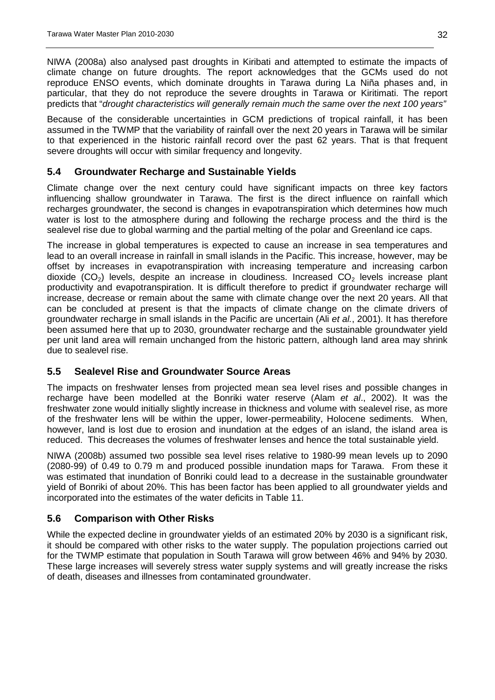NIWA (2008a) also analysed past droughts in Kiribati and attempted to estimate the impacts of climate change on future droughts. The report acknowledges that the GCMs used do not reproduce ENSO events, which dominate droughts in Tarawa during La Niña phases and, in particular, that they do not reproduce the severe droughts in Tarawa or Kiritimati. The report predicts that "*drought characteristics will generally remain much the same over the next 100 years"*

Because of the considerable uncertainties in GCM predictions of tropical rainfall, it has been assumed in the TWMP that the variability of rainfall over the next 20 years in Tarawa will be similar to that experienced in the historic rainfall record over the past 62 years. That is that frequent severe droughts will occur with similar frequency and longevity.

#### <span id="page-31-0"></span>**5.4 Groundwater Recharge and Sustainable Yields**

Climate change over the next century could have significant impacts on three key factors influencing shallow groundwater in Tarawa. The first is the direct influence on rainfall which recharges groundwater, the second is changes in evapotranspiration which determines how much water is lost to the atmosphere during and following the recharge process and the third is the sealevel rise due to global warming and the partial melting of the polar and Greenland ice caps.

The increase in global temperatures is expected to cause an increase in sea temperatures and lead to an overall increase in rainfall in small islands in the Pacific. This increase, however, may be offset by increases in evapotranspiration with increasing temperature and increasing carbon dioxide  $(CO_2)$  levels, despite an increase in cloudiness. Increased  $CO_2$  levels increase plant productivity and evapotranspiration. It is difficult therefore to predict if groundwater recharge will increase, decrease or remain about the same with climate change over the next 20 years. All that can be concluded at present is that the impacts of climate change on the climate drivers of groundwater recharge in small islands in the Pacific are uncertain (Ali *et al.*, 2001). It has therefore been assumed here that up to 2030, groundwater recharge and the sustainable groundwater yield per unit land area will remain unchanged from the historic pattern, although land area may shrink due to sealevel rise.

#### <span id="page-31-1"></span>**5.5 Sealevel Rise and Groundwater Source Areas**

The impacts on freshwater lenses from projected mean sea level rises and possible changes in recharge have been modelled at the Bonriki water reserve (Alam *et al*., 2002). It was the freshwater zone would initially slightly increase in thickness and volume with sealevel rise, as more of the freshwater lens will be within the upper, lower-permeability, Holocene sediments. When, however, land is lost due to erosion and inundation at the edges of an island, the island area is reduced. This decreases the volumes of freshwater lenses and hence the total sustainable yield.

NIWA (2008b) assumed two possible sea level rises relative to 1980-99 mean levels up to 2090 (2080-99) of 0.49 to 0.79 m and produced possible inundation maps for Tarawa. From these it was estimated that inundation of Bonriki could lead to a decrease in the sustainable groundwater yield of Bonriki of about 20%. This has been factor has been applied to all groundwater yields and incorporated into the estimates of the water deficits in [Table 11.](#page-29-1)

#### <span id="page-31-2"></span>**5.6 Comparison with Other Risks**

While the expected decline in groundwater yields of an estimated 20% by 2030 is a significant risk, it should be compared with other risks to the water supply. The population projections carried out for the TWMP estimate that population in South Tarawa will grow between 46% and 94% by 2030. These large increases will severely stress water supply systems and will greatly increase the risks of death, diseases and illnesses from contaminated groundwater.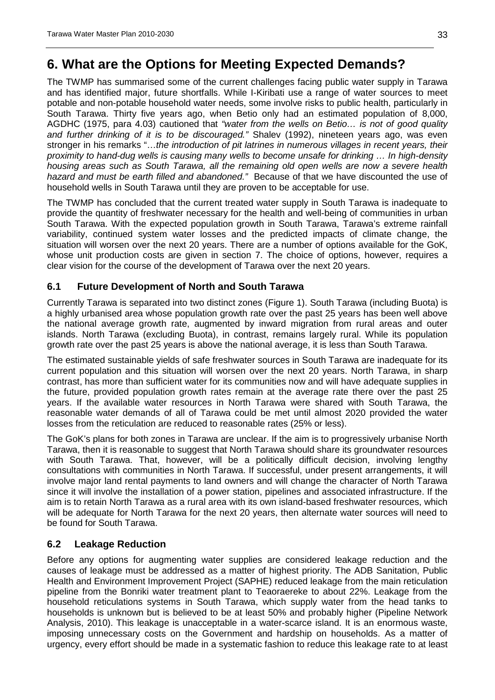## <span id="page-32-0"></span>**6. What are the Options for Meeting Expected Demands?**

The TWMP has summarised some of the current challenges facing public water supply in Tarawa and has identified major, future shortfalls. While I-Kiribati use a range of water sources to meet potable and non-potable household water needs, some involve risks to public health, particularly in South Tarawa. Thirty five years ago, when Betio only had an estimated population of 8,000, AGDHC (1975, para 4.03) cautioned that *"water from the wells on Betio… is not of good quality and further drinking of it is to be discouraged."* Shalev (1992), nineteen years ago, was even stronger in his remarks "…*the introduction of pit latrines in numerous villages in recent years, their proximity to hand-dug wells is causing many wells to become unsafe for drinking … In high-density housing areas such as South Tarawa, all the remaining old open wells are now a severe health hazard and must be earth filled and abandoned."* Because of that we have discounted the use of household wells in South Tarawa until they are proven to be acceptable for use.

The TWMP has concluded that the current treated water supply in South Tarawa is inadequate to provide the quantity of freshwater necessary for the health and well-being of communities in urban South Tarawa. With the expected population growth in South Tarawa, Tarawa's extreme rainfall variability, continued system water losses and the predicted impacts of climate change, the situation will worsen over the next 20 years. There are a number of options available for the GoK, whose unit production costs are given in section [7.](#page-39-0) The choice of options, however, requires a clear vision for the course of the development of Tarawa over the next 20 years.

#### <span id="page-32-1"></span>**6.1 Future Development of North and South Tarawa**

Currently Tarawa is separated into two distinct zones [\(Figure 1\)](#page-7-0). South Tarawa (including Buota) is a highly urbanised area whose population growth rate over the past 25 years has been well above the national average growth rate, augmented by inward migration from rural areas and outer islands. North Tarawa (excluding Buota), in contrast, remains largely rural. While its population growth rate over the past 25 years is above the national average, it is less than South Tarawa.

The estimated sustainable yields of safe freshwater sources in South Tarawa are inadequate for its current population and this situation will worsen over the next 20 years. North Tarawa, in sharp contrast, has more than sufficient water for its communities now and will have adequate supplies in the future, provided population growth rates remain at the average rate there over the past 25 years. If the available water resources in North Tarawa were shared with South Tarawa, the reasonable water demands of all of Tarawa could be met until almost 2020 provided the water losses from the reticulation are reduced to reasonable rates (25% or less).

The GoK's plans for both zones in Tarawa are unclear. If the aim is to progressively urbanise North Tarawa, then it is reasonable to suggest that North Tarawa should share its groundwater resources with South Tarawa. That, however, will be a politically difficult decision, involving lengthy consultations with communities in North Tarawa. If successful, under present arrangements, it will involve major land rental payments to land owners and will change the character of North Tarawa since it will involve the installation of a power station, pipelines and associated infrastructure. If the aim is to retain North Tarawa as a rural area with its own island-based freshwater resources, which will be adequate for North Tarawa for the next 20 years, then alternate water sources will need to be found for South Tarawa.

#### <span id="page-32-2"></span>**6.2 Leakage Reduction**

Before any options for augmenting water supplies are considered leakage reduction and the causes of leakage must be addressed as a matter of highest priority. The ADB Sanitation, Public Health and Environment Improvement Project (SAPHE) reduced leakage from the main reticulation pipeline from the Bonriki water treatment plant to Teaoraereke to about 22%. Leakage from the household reticulations systems in South Tarawa, which supply water from the head tanks to households is unknown but is believed to be at least 50% and probably higher (Pipeline Network Analysis, 2010). This leakage is unacceptable in a water-scarce island. It is an enormous waste, imposing unnecessary costs on the Government and hardship on households. As a matter of urgency, every effort should be made in a systematic fashion to reduce this leakage rate to at least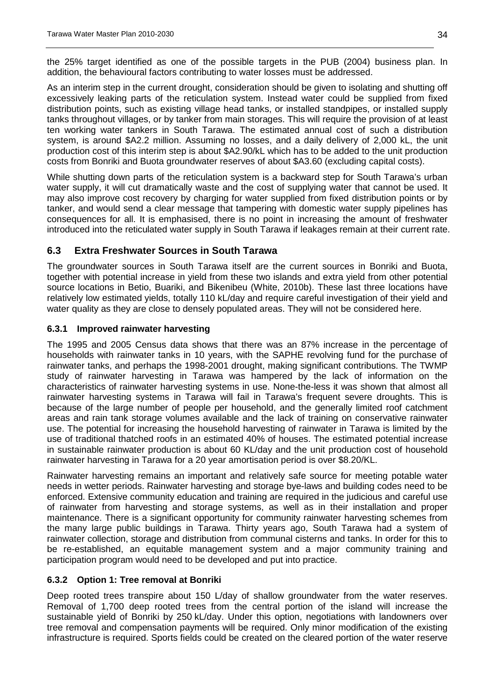the 25% target identified as one of the possible targets in the PUB (2004) business plan. In addition, the behavioural factors contributing to water losses must be addressed.

As an interim step in the current drought, consideration should be given to isolating and shutting off excessively leaking parts of the reticulation system. Instead water could be supplied from fixed distribution points, such as existing village head tanks, or installed standpipes, or installed supply tanks throughout villages, or by tanker from main storages. This will require the provision of at least ten working water tankers in South Tarawa. The estimated annual cost of such a distribution system, is around \$A2.2 million. Assuming no losses, and a daily delivery of 2,000 kL, the unit production cost of this interim step is about \$A2.90/kL which has to be added to the unit production costs from Bonriki and Buota groundwater reserves of about \$A3.60 (excluding capital costs).

While shutting down parts of the reticulation system is a backward step for South Tarawa's urban water supply, it will cut dramatically waste and the cost of supplying water that cannot be used. It may also improve cost recovery by charging for water supplied from fixed distribution points or by tanker, and would send a clear message that tampering with domestic water supply pipelines has consequences for all. It is emphasised, there is no point in increasing the amount of freshwater introduced into the reticulated water supply in South Tarawa if leakages remain at their current rate.

#### <span id="page-33-0"></span>**6.3 Extra Freshwater Sources in South Tarawa**

The groundwater sources in South Tarawa itself are the current sources in Bonriki and Buota, together with potential increase in yield from these two islands and extra yield from other potential source locations in Betio, Buariki, and Bikenibeu (White, 2010b). These last three locations have relatively low estimated yields, totally 110 kL/day and require careful investigation of their yield and water quality as they are close to densely populated areas. They will not be considered here.

#### <span id="page-33-1"></span>**6.3.1 Improved rainwater harvesting**

The 1995 and 2005 Census data shows that there was an 87% increase in the percentage of households with rainwater tanks in 10 years, with the SAPHE revolving fund for the purchase of rainwater tanks, and perhaps the 1998-2001 drought, making significant contributions. The TWMP study of rainwater harvesting in Tarawa was hampered by the lack of information on the characteristics of rainwater harvesting systems in use. None-the-less it was shown that almost all rainwater harvesting systems in Tarawa will fail in Tarawa's frequent severe droughts. This is because of the large number of people per household, and the generally limited roof catchment areas and rain tank storage volumes available and the lack of training on conservative rainwater use. The potential for increasing the household harvesting of rainwater in Tarawa is limited by the use of traditional thatched roofs in an estimated 40% of houses. The estimated potential increase in sustainable rainwater production is about 60 KL/day and the unit production cost of household rainwater harvesting in Tarawa for a 20 year amortisation period is over \$8.20/KL.

Rainwater harvesting remains an important and relatively safe source for meeting potable water needs in wetter periods. Rainwater harvesting and storage bye-laws and building codes need to be enforced. Extensive community education and training are required in the judicious and careful use of rainwater from harvesting and storage systems, as well as in their installation and proper maintenance. There is a significant opportunity for community rainwater harvesting schemes from the many large public buildings in Tarawa. Thirty years ago, South Tarawa had a system of rainwater collection, storage and distribution from communal cisterns and tanks. In order for this to be re-established, an equitable management system and a major community training and participation program would need to be developed and put into practice.

#### <span id="page-33-2"></span>**6.3.2 Option 1: Tree removal at Bonriki**

Deep rooted trees transpire about 150 L/day of shallow groundwater from the water reserves. Removal of 1,700 deep rooted trees from the central portion of the island will increase the sustainable yield of Bonriki by 250 kL/day. Under this option, negotiations with landowners over tree removal and compensation payments will be required. Only minor modification of the existing infrastructure is required. Sports fields could be created on the cleared portion of the water reserve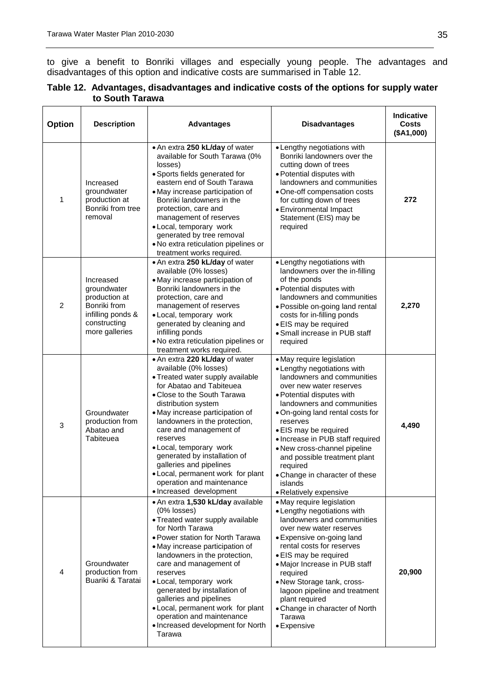to give a benefit to Bonriki villages and especially young people. The advantages and disadvantages of this option and indicative costs are summarised in [Table 12.](#page-34-0)

<span id="page-34-0"></span>

|                 | Table 12. Advantages, disadvantages and indicative costs of the options for supply water |
|-----------------|------------------------------------------------------------------------------------------|
| to South Tarawa |                                                                                          |

| <b>Option</b>  | <b>Description</b>                                                                                               | <b>Advantages</b>                                                                                                                                                                                                                                                                                                                                                                                                                                                          | <b>Disadvantages</b>                                                                                                                                                                                                                                                                                                                                                                                                                         | <b>Indicative</b><br><b>Costs</b><br>(\$A1,000) |
|----------------|------------------------------------------------------------------------------------------------------------------|----------------------------------------------------------------------------------------------------------------------------------------------------------------------------------------------------------------------------------------------------------------------------------------------------------------------------------------------------------------------------------------------------------------------------------------------------------------------------|----------------------------------------------------------------------------------------------------------------------------------------------------------------------------------------------------------------------------------------------------------------------------------------------------------------------------------------------------------------------------------------------------------------------------------------------|-------------------------------------------------|
| 1              | Increased<br>groundwater<br>production at<br>Bonriki from tree<br>removal                                        | . An extra 250 kL/day of water<br>available for South Tarawa (0%<br>losses)<br>· Sports fields generated for<br>eastern end of South Tarawa<br>• May increase participation of<br>Bonriki landowners in the<br>protection, care and<br>management of reserves<br>· Local, temporary work<br>generated by tree removal<br>. No extra reticulation pipelines or<br>treatment works required.                                                                                 | • Lengthy negotiations with<br>Bonriki landowners over the<br>cutting down of trees<br>• Potential disputes with<br>landowners and communities<br>· One-off compensation costs<br>for cutting down of trees<br>• Environmental Impact<br>Statement (EIS) may be<br>required                                                                                                                                                                  | 272                                             |
| $\overline{c}$ | Increased<br>groundwater<br>production at<br>Bonriki from<br>infilling ponds &<br>constructing<br>more galleries | . An extra 250 kL/day of water<br>available (0% losses)<br>• May increase participation of<br>Bonriki landowners in the<br>protection, care and<br>management of reserves<br>· Local, temporary work<br>generated by cleaning and<br>infilling ponds<br>. No extra reticulation pipelines or<br>treatment works required.                                                                                                                                                  | • Lengthy negotiations with<br>landowners over the in-filling<br>of the ponds<br>• Potential disputes with<br>landowners and communities<br>· Possible on-going land rental<br>costs for in-filling ponds<br>· EIS may be required<br>• Small increase in PUB staff<br>required                                                                                                                                                              | 2,270                                           |
| 3              | Groundwater<br>production from<br>Abatao and<br>Tabiteuea                                                        | . An extra 220 kL/day of water<br>available (0% losses)<br>• Treated water supply available<br>for Abatao and Tabiteuea<br>• Close to the South Tarawa<br>distribution system<br>• May increase participation of<br>landowners in the protection,<br>care and management of<br>reserves<br>· Local, temporary work<br>generated by installation of<br>galleries and pipelines<br>• Local, permanent work for plant<br>operation and maintenance<br>· Increased development | • May require legislation<br>• Lengthy negotiations with<br>landowners and communities<br>over new water reserves<br>• Potential disputes with<br>landowners and communities<br>. On-going land rental costs for<br>reserves<br>• EIS may be required<br>• Increase in PUB staff required<br>• New cross-channel pipeline<br>and possible treatment plant<br>required<br>• Change in character of these<br>islands<br>· Relatively expensive | 4,490                                           |
| 4              | Groundwater<br>production from<br>Buariki & Taratai                                                              | • An extra 1,530 kL/day available<br>$(0\%$ losses)<br>• Treated water supply available<br>for North Tarawa<br>• Power station for North Tarawa<br>• May increase participation of<br>landowners in the protection,<br>care and management of<br>reserves<br>· Local, temporary work<br>generated by installation of<br>galleries and pipelines<br>• Local, permanent work for plant<br>operation and maintenance<br>• Increased development for North<br>Tarawa           | • May require legislation<br>• Lengthy negotiations with<br>landowners and communities<br>over new water reserves<br>• Expensive on-going land<br>rental costs for reserves<br>• EIS may be required<br>• Major Increase in PUB staff<br>required<br>• New Storage tank, cross-<br>lagoon pipeline and treatment<br>plant required<br>• Change in character of North<br>Tarawa<br>• Expensive                                                | 20,900                                          |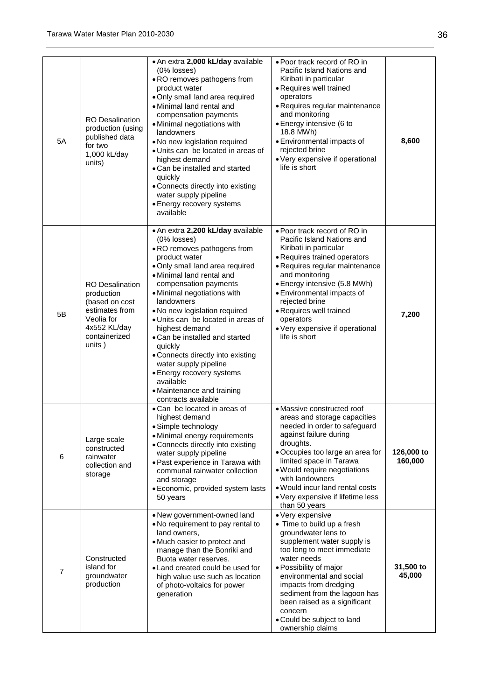| 5A             | <b>RO</b> Desalination<br>production (using<br>published data<br>for two<br>1,000 kL/day<br>units)                                | . An extra 2,000 kL/day available<br>(0% losses)<br>. RO removes pathogens from<br>product water<br>. Only small land area required<br>· Minimal land rental and<br>compensation payments<br>• Minimal negotiations with<br>landowners<br>. No new legislation required<br>• Units can be located in areas of<br>highest demand<br>• Can be installed and started<br>quickly<br>• Connects directly into existing<br>water supply pipeline<br>• Energy recovery systems<br>available                                                      | • Poor track record of RO in<br>Pacific Island Nations and<br>Kiribati in particular<br>• Requires well trained<br>operators<br>• Requires regular maintenance<br>and monitoring<br>• Energy intensive (6 to<br>18.8 MWh)<br>• Environmental impacts of<br>rejected brine<br>• Very expensive if operational<br>life is short                                | 8,600                 |
|----------------|-----------------------------------------------------------------------------------------------------------------------------------|-------------------------------------------------------------------------------------------------------------------------------------------------------------------------------------------------------------------------------------------------------------------------------------------------------------------------------------------------------------------------------------------------------------------------------------------------------------------------------------------------------------------------------------------|--------------------------------------------------------------------------------------------------------------------------------------------------------------------------------------------------------------------------------------------------------------------------------------------------------------------------------------------------------------|-----------------------|
| 5B             | <b>RO</b> Desalination<br>production<br>(based on cost<br>estimates from<br>Veolia for<br>4x552 KL/day<br>containerized<br>units) | . An extra 2,200 kL/day available<br>(0% losses)<br>. RO removes pathogens from<br>product water<br>. Only small land area required<br>• Minimal land rental and<br>compensation payments<br>• Minimal negotiations with<br>landowners<br>. No new legislation required<br>• Units can be located in areas of<br>highest demand<br>• Can be installed and started<br>quickly<br>• Connects directly into existing<br>water supply pipeline<br>• Energy recovery systems<br>available<br>• Maintenance and training<br>contracts available | • Poor track record of RO in<br>Pacific Island Nations and<br>Kiribati in particular<br>• Requires trained operators<br>• Requires regular maintenance<br>and monitoring<br>• Energy intensive (5.8 MWh)<br>• Environmental impacts of<br>rejected brine<br>• Requires well trained<br>operators<br>• Very expensive if operational<br>life is short         | 7,200                 |
| 6              | Large scale<br>constructed<br>rainwater<br>collection and<br>storage                                                              | • Can be located in areas of<br>highest demand<br>• Simple technology<br>• Minimal energy requirements<br>• Connects directly into existing<br>water supply pipeline<br>• Past experience in Tarawa with<br>communal rainwater collection<br>and storage<br>· Economic, provided system lasts<br>50 years                                                                                                                                                                                                                                 | • Massive constructed roof<br>areas and storage capacities<br>needed in order to safeguard<br>against failure during<br>droughts.<br>• Occupies too large an area for<br>limited space in Tarawa<br>• Would require negotiations<br>with landowners<br>. Would incur land rental costs<br>• Very expensive if lifetime less<br>than 50 years                 | 126,000 to<br>160,000 |
| $\overline{7}$ | Constructed<br>island for<br>groundwater<br>production                                                                            | • New government-owned land<br>. No requirement to pay rental to<br>land owners,<br>• Much easier to protect and<br>manage than the Bonriki and<br>Buota water reserves.<br>• Land created could be used for<br>high value use such as location<br>of photo-voltaics for power<br>generation                                                                                                                                                                                                                                              | • Very expensive<br>• Time to build up a fresh<br>groundwater lens to<br>supplement water supply is<br>too long to meet immediate<br>water needs<br>· Possibility of major<br>environmental and social<br>impacts from dredging<br>sediment from the lagoon has<br>been raised as a significant<br>concern<br>• Could be subject to land<br>ownership claims | 31,500 to<br>45,000   |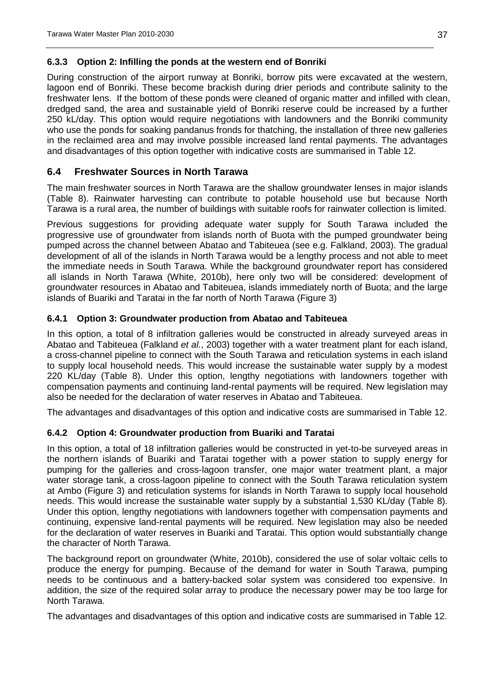#### <span id="page-36-0"></span>**6.3.3 Option 2: Infilling the ponds at the western end of Bonriki**

During construction of the airport runway at Bonriki, borrow pits were excavated at the western, lagoon end of Bonriki. These become brackish during drier periods and contribute salinity to the freshwater lens. If the bottom of these ponds were cleaned of organic matter and infilled with clean, dredged sand, the area and sustainable yield of Bonriki reserve could be increased by a further 250 kL/day. This option would require negotiations with landowners and the Bonriki community who use the ponds for soaking pandanus fronds for thatching, the installation of three new galleries in the reclaimed area and may involve possible increased land rental payments. The advantages and disadvantages of this option together with indicative costs are summarised in [Table 12.](#page-34-0)

#### <span id="page-36-1"></span>**6.4 Freshwater Sources in North Tarawa**

The main freshwater sources in North Tarawa are the shallow groundwater lenses in major islands [\(Table 8\)](#page-24-1). Rainwater harvesting can contribute to potable household use but because North Tarawa is a rural area, the number of buildings with suitable roofs for rainwater collection is limited.

Previous suggestions for providing adequate water supply for South Tarawa included the progressive use of groundwater from islands north of Buota with the pumped groundwater being pumped across the channel between Abatao and Tabiteuea (see e.g. Falkland, 2003). The gradual development of all of the islands in North Tarawa would be a lengthy process and not able to meet the immediate needs in South Tarawa. While the background groundwater report has considered all islands in North Tarawa (White, 2010b), here only two will be considered: development of groundwater resources in Abatao and Tabiteuea, islands immediately north of Buota; and the large islands of Buariki and Taratai in the far north of North Tarawa [\(Figure 3\)](#page-37-3)

#### <span id="page-36-2"></span>**6.4.1 Option 3: Groundwater production from Abatao and Tabiteuea**

In this option, a total of 8 infiltration galleries would be constructed in already surveyed areas in Abatao and Tabiteuea (Falkland *et al.*, 2003) together with a water treatment plant for each island, a cross-channel pipeline to connect with the South Tarawa and reticulation systems in each island to supply local household needs. This would increase the sustainable water supply by a modest 220 KL/day [\(Table 8\)](#page-24-1). Under this option, lengthy negotiations with landowners together with compensation payments and continuing land-rental payments will be required. New legislation may also be needed for the declaration of water reserves in Abatao and Tabiteuea.

The advantages and disadvantages of this option and indicative costs are summarised in [Table 12.](#page-34-0)

#### <span id="page-36-3"></span>**6.4.2 Option 4: Groundwater production from Buariki and Taratai**

In this option, a total of 18 infiltration galleries would be constructed in yet-to-be surveyed areas in the northern islands of Buariki and Taratai together with a power station to supply energy for pumping for the galleries and cross-lagoon transfer, one major water treatment plant, a major water storage tank, a cross-lagoon pipeline to connect with the South Tarawa reticulation system at Ambo [\(Figure 3\)](#page-37-3) and reticulation systems for islands in North Tarawa to supply local household needs. This would increase the sustainable water supply by a substantial 1,530 KL/day [\(Table 8\)](#page-24-1). Under this option, lengthy negotiations with landowners together with compensation payments and continuing, expensive land-rental payments will be required. New legislation may also be needed for the declaration of water reserves in Buariki and Taratai. This option would substantially change the character of North Tarawa.

The background report on groundwater (White, 2010b), considered the use of solar voltaic cells to produce the energy for pumping. Because of the demand for water in South Tarawa, pumping needs to be continuous and a battery-backed solar system was considered too expensive. In addition, the size of the required solar array to produce the necessary power may be too large for North Tarawa.

The advantages and disadvantages of this option and indicative costs are summarised in [Table 12.](#page-34-0)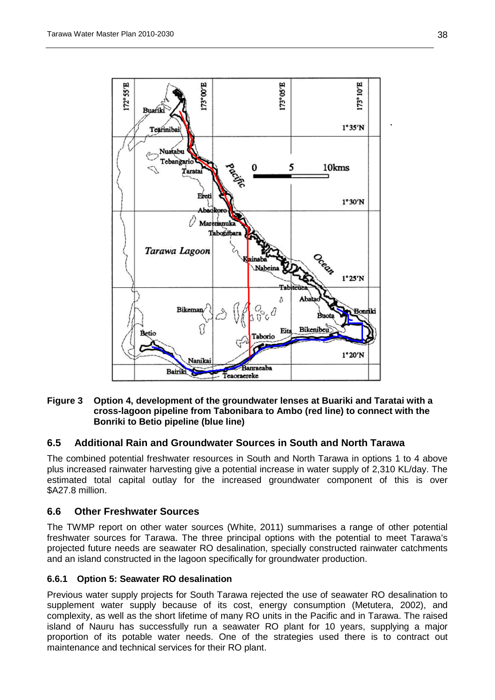

#### <span id="page-37-3"></span>**Figure 3 Option 4, development of the groundwater lenses at Buariki and Taratai with a cross-lagoon pipeline from Tabonibara to Ambo (red line) to connect with the Bonriki to Betio pipeline (blue line)**

#### <span id="page-37-0"></span>**6.5 Additional Rain and Groundwater Sources in South and North Tarawa**

The combined potential freshwater resources in South and North Tarawa in options 1 to 4 above plus increased rainwater harvesting give a potential increase in water supply of 2,310 KL/day. The estimated total capital outlay for the increased groundwater component of this is over \$A27.8 million.

#### <span id="page-37-1"></span>**6.6 Other Freshwater Sources**

The TWMP report on other water sources (White, 2011) summarises a range of other potential freshwater sources for Tarawa. The three principal options with the potential to meet Tarawa's projected future needs are seawater RO desalination, specially constructed rainwater catchments and an island constructed in the lagoon specifically for groundwater production.

#### <span id="page-37-2"></span>**6.6.1 Option 5: Seawater RO desalination**

Previous water supply projects for South Tarawa rejected the use of seawater RO desalination to supplement water supply because of its cost, energy consumption (Metutera, 2002), and complexity, as well as the short lifetime of many RO units in the Pacific and in Tarawa. The raised island of Nauru has successfully run a seawater RO plant for 10 years, supplying a major proportion of its potable water needs. One of the strategies used there is to contract out maintenance and technical services for their RO plant.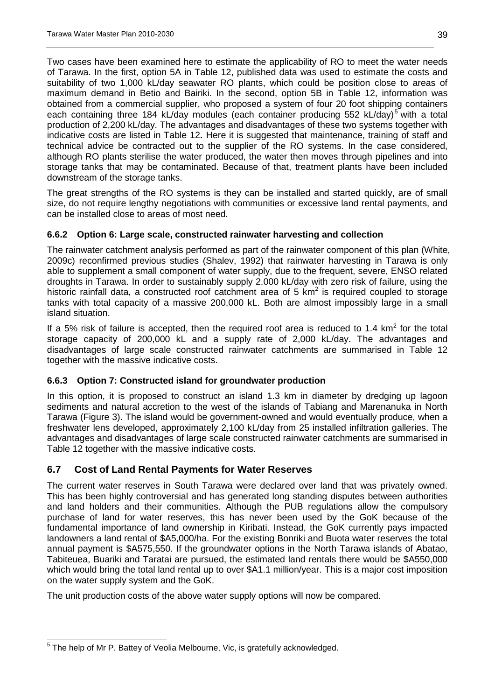Two cases have been examined here to estimate the applicability of RO to meet the water needs of Tarawa. In the first, option 5A in [Table 12,](#page-34-0) published data was used to estimate the costs and suitability of two 1,000 kL/day seawater RO plants, which could be position close to areas of maximum demand in Betio and Bairiki. In the second, option 5B in [Table 12,](#page-34-0) information was obtained from a commercial supplier, who proposed a system of four 20 foot shipping containers each containing three 184 kL/day modules (each container producing [5](#page-38-3)52 kL/day)<sup>5</sup> with a total production of 2,200 kL/day. The advantages and disadvantages of these two systems together with indicative costs are listed in [Table 12](#page-34-0)**.** Here it is suggested that maintenance, training of staff and technical advice be contracted out to the supplier of the RO systems. In the case considered, although RO plants sterilise the water produced, the water then moves through pipelines and into storage tanks that may be contaminated. Because of that, treatment plants have been included downstream of the storage tanks.

The great strengths of the RO systems is they can be installed and started quickly, are of small size, do not require lengthy negotiations with communities or excessive land rental payments, and can be installed close to areas of most need.

#### <span id="page-38-0"></span>**6.6.2 Option 6: Large scale, constructed rainwater harvesting and collection**

The rainwater catchment analysis performed as part of the rainwater component of this plan (White, 2009c) reconfirmed previous studies (Shalev, 1992) that rainwater harvesting in Tarawa is only able to supplement a small component of water supply, due to the frequent, severe, ENSO related droughts in Tarawa. In order to sustainably supply 2,000 kL/day with zero risk of failure, using the historic rainfall data, a constructed roof catchment area of 5  $km<sup>2</sup>$  is required coupled to storage tanks with total capacity of a massive 200,000 kL. Both are almost impossibly large in a small island situation.

If a 5% risk of failure is accepted, then the required roof area is reduced to 1.4 km<sup>2</sup> for the total storage capacity of 200,000 kL and a supply rate of 2,000 kL/day. The advantages and disadvantages of large scale constructed rainwater catchments are summarised in [Table 12](#page-34-0) together with the massive indicative costs.

#### <span id="page-38-1"></span>**6.6.3 Option 7: Constructed island for groundwater production**

In this option, it is proposed to construct an island 1.3 km in diameter by dredging up lagoon sediments and natural accretion to the west of the islands of Tabiang and Marenanuka in North Tarawa [\(Figure 3\)](#page-37-3). The island would be government-owned and would eventually produce, when a freshwater lens developed, approximately 2,100 kL/day from 25 installed infiltration galleries. The advantages and disadvantages of large scale constructed rainwater catchments are summarised in [Table 12](#page-34-0) together with the massive indicative costs.

#### <span id="page-38-2"></span>**6.7 Cost of Land Rental Payments for Water Reserves**

The current water reserves in South Tarawa were declared over land that was privately owned. This has been highly controversial and has generated long standing disputes between authorities and land holders and their communities. Although the PUB regulations allow the compulsory purchase of land for water reserves, this has never been used by the GoK because of the fundamental importance of land ownership in Kiribati. Instead, the GoK currently pays impacted landowners a land rental of \$A5,000/ha. For the existing Bonriki and Buota water reserves the total annual payment is \$A575,550. If the groundwater options in the North Tarawa islands of Abatao, Tabiteuea, Buariki and Taratai are pursued, the estimated land rentals there would be \$A550,000 which would bring the total land rental up to over \$A1.1 million/year. This is a major cost imposition on the water supply system and the GoK.

The unit production costs of the above water supply options will now be compared.

<span id="page-38-3"></span><sup>&</sup>lt;sup>5</sup> The help of Mr P. Battey of Veolia Melbourne, Vic, is gratefully acknowledged.  $\overline{a}$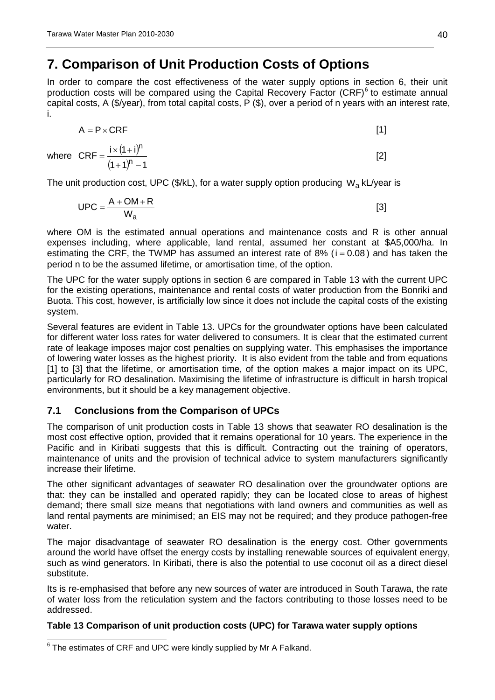## <span id="page-39-0"></span>**7. Comparison of Unit Production Costs of Options**

In order to compare the cost effectiveness of the water supply options in section [6,](#page-32-0) their unit production costs will be compared using the Capital Recovery Factor  $(CRF)^6$  $(CRF)^6$  to estimate annual capital costs, A (\$/year), from total capital costs, P (\$), over a period of n years with an interest rate, i.

$$
A = P \times CRF
$$
 [1]

where 
$$
CRF = \frac{i \times (1 + i)^n}{(1 + 1)^n - 1}
$$
 [2]

The unit production cost, UPC ( $\frac{f}{k}$ kL), for a water supply option producing W<sub>a</sub> kL/year is

$$
UPC = \frac{A + OM + R}{W_a}
$$
 [3]

where OM is the estimated annual operations and maintenance costs and R is other annual expenses including, where applicable, land rental, assumed her constant at \$A5,000/ha. In estimating the CRF, the TWMP has assumed an interest rate of 8% ( $i = 0.08$ ) and has taken the period n to be the assumed lifetime, or amortisation time, of the option.

The UPC for the water supply options in section [6](#page-32-0) are compared in [Table 13](#page-39-2) with the current UPC for the existing operations, maintenance and rental costs of water production from the Bonriki and Buota. This cost, however, is artificially low since it does not include the capital costs of the existing system.

Several features are evident in [Table 13.](#page-39-2) UPCs for the groundwater options have been calculated for different water loss rates for water delivered to consumers. It is clear that the estimated current rate of leakage imposes major cost penalties on supplying water. This emphasises the importance of lowering water losses as the highest priority. It is also evident from the table and from equations [1] to [3] that the lifetime, or amortisation time, of the option makes a major impact on its UPC, particularly for RO desalination. Maximising the lifetime of infrastructure is difficult in harsh tropical environments, but it should be a key management objective.

## <span id="page-39-1"></span>**7.1 Conclusions from the Comparison of UPCs**

The comparison of unit production costs in [Table 13](#page-39-2) shows that seawater RO desalination is the most cost effective option, provided that it remains operational for 10 years. The experience in the Pacific and in Kiribati suggests that this is difficult. Contracting out the training of operators, maintenance of units and the provision of technical advice to system manufacturers significantly increase their lifetime.

The other significant advantages of seawater RO desalination over the groundwater options are that: they can be installed and operated rapidly; they can be located close to areas of highest demand; there small size means that negotiations with land owners and communities as well as land rental payments are minimised; an EIS may not be required; and they produce pathogen-free water.

The major disadvantage of seawater RO desalination is the energy cost. Other governments around the world have offset the energy costs by installing renewable sources of equivalent energy, such as wind generators. In Kiribati, there is also the potential to use coconut oil as a direct diesel substitute.

Its is re-emphasised that before any new sources of water are introduced in South Tarawa, the rate of water loss from the reticulation system and the factors contributing to those losses need to be addressed.

#### <span id="page-39-2"></span>**Table 13 Comparison of unit production costs (UPC) for Tarawa water supply options**

<span id="page-39-3"></span> $6$  The estimates of CRF and UPC were kindly supplied by Mr A Falkand.  $\overline{a}$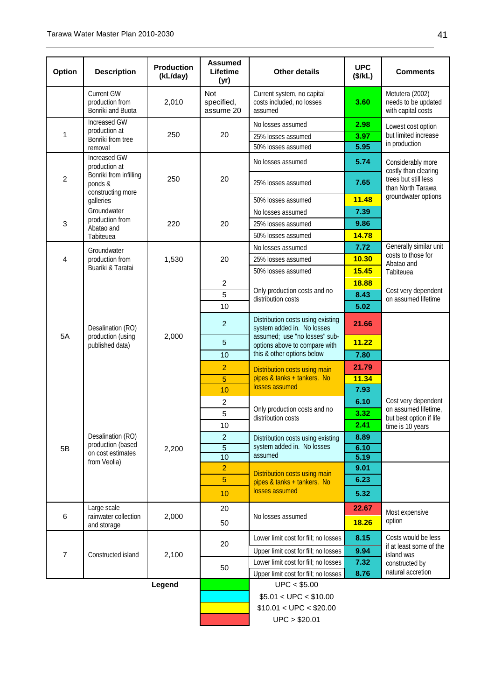| Option           | <b>Description</b>                                        | <b>Production</b><br>(kL/day) | <b>Assumed</b><br>Lifetime<br>(yr) | <b>Other details</b>                                               | <b>UPC</b><br>(\$/kL) | <b>Comments</b>                                              |
|------------------|-----------------------------------------------------------|-------------------------------|------------------------------------|--------------------------------------------------------------------|-----------------------|--------------------------------------------------------------|
|                  | Current GW<br>production from<br>Bonriki and Buota        | 2,010                         | Not<br>specified,<br>assume 20     | Current system, no capital<br>costs included, no losses<br>assumed | 3.60                  | Metutera (2002)<br>needs to be updated<br>with capital costs |
|                  | <b>Increased GW</b>                                       |                               |                                    | No losses assumed                                                  | 2.98                  | Lowest cost option                                           |
| 1                | production at<br>Bonriki from tree                        | 250                           | 20                                 | 25% losses assumed                                                 | 3.97                  | but limited increase                                         |
|                  | removal                                                   |                               |                                    | 50% losses assumed                                                 | 5.95                  | in production                                                |
|                  | Increased GW<br>production at                             |                               |                                    | No losses assumed                                                  | 5.74                  | Considerably more<br>costly than clearing                    |
| $\boldsymbol{2}$ | Bonriki from infilling<br>ponds &<br>constructing more    | 250                           | 20                                 | 25% losses assumed                                                 | 7.65                  | trees but still less<br>than North Tarawa                    |
|                  | galleries                                                 |                               |                                    | 50% losses assumed                                                 | 11.48                 | groundwater options                                          |
|                  | Groundwater                                               |                               |                                    | No losses assumed                                                  | 7.39                  |                                                              |
| $\mathbf{3}$     | production from<br>Abatao and                             | 220                           | 20                                 | 25% losses assumed                                                 | 9.86                  |                                                              |
|                  | Tabiteuea                                                 |                               |                                    | 50% losses assumed                                                 | 14.78                 |                                                              |
|                  | Groundwater                                               |                               |                                    | No losses assumed                                                  | 7.72                  | Generally similar unit                                       |
| $\overline{4}$   | production from                                           | 1,530                         | 20                                 | 25% losses assumed                                                 | 10.30                 | costs to those for<br>Abatao and                             |
|                  | Buariki & Taratai                                         |                               |                                    | 50% losses assumed                                                 | 15.45                 | Tabiteuea                                                    |
|                  |                                                           |                               | $\overline{c}$                     |                                                                    | 18.88                 |                                                              |
|                  | Desalination (RO)<br>production (using<br>published data) |                               | 5                                  | Only production costs and no<br>distribution costs                 | 8.43                  | Cost very dependent<br>on assumed lifetime                   |
|                  |                                                           | 2,000                         | 10                                 |                                                                    | 5.02                  |                                                              |
|                  |                                                           |                               | $\overline{2}$                     | Distribution costs using existing<br>system added in. No losses    | 21.66                 |                                                              |
| 5A               |                                                           |                               | $\overline{5}$                     | assumed; use "no losses" sub-<br>options above to compare with     | 11.22                 |                                                              |
|                  |                                                           |                               | 10                                 | this & other options below                                         | 7.80                  |                                                              |
|                  |                                                           |                               | $\overline{2}$                     | <b>Distribution costs using main</b>                               | 21.79                 |                                                              |
|                  |                                                           |                               | $\overline{5}$                     | pipes & tanks + tankers. No<br>losses assumed                      | 11.34                 |                                                              |
|                  |                                                           |                               | 10                                 |                                                                    | 7.93                  |                                                              |
|                  |                                                           |                               | $\overline{c}$                     |                                                                    | 6.10                  | Cost very dependent                                          |
|                  |                                                           |                               | 5                                  | Only production costs and no<br>distribution costs                 | 3.32                  | on assumed lifetime,<br>but best option if life              |
|                  |                                                           |                               | 10                                 |                                                                    | 2.41                  | time is 10 years                                             |
|                  | Desalination (RO)                                         |                               | $\overline{a}$                     | Distribution costs using existing                                  | 8.89                  |                                                              |
| 5B               | production (based<br>on cost estimates                    | 2,200                         | $\overline{5}$                     | system added in. No losses                                         | 6.10                  |                                                              |
|                  | from Veolia)                                              |                               | 10                                 | assumed                                                            | 5.19                  |                                                              |
|                  |                                                           |                               | $\overline{2}$                     | <b>Distribution costs using main</b>                               | 9.01                  |                                                              |
|                  |                                                           |                               | $\overline{5}$                     | pipes & tanks + tankers. No                                        | 6.23                  |                                                              |
|                  |                                                           |                               | 10                                 | losses assumed                                                     | 5.32                  |                                                              |
| $\,6$            | Large scale<br>rainwater collection                       | 2,000                         | 20                                 | No losses assumed                                                  | 22.67                 | Most expensive                                               |
|                  | and storage                                               |                               | 50                                 |                                                                    | 18.26                 | option                                                       |
|                  |                                                           |                               |                                    | Lower limit cost for fill; no losses                               | 8.15                  | Costs would be less                                          |
| $\overline{7}$   | Constructed island                                        | 2,100                         | 20                                 | Upper limit cost for fill; no losses                               | 9.94                  | if at least some of the                                      |
|                  |                                                           |                               |                                    | Lower limit cost for fill; no losses                               | 7.32                  | island was<br>constructed by                                 |
|                  |                                                           |                               | 50                                 | Upper limit cost for fill; no losses                               | 8.76                  | natural accretion                                            |
|                  |                                                           | Legend                        |                                    | UPC < \$5.00                                                       |                       |                                                              |
|                  |                                                           |                               |                                    | \$5.01 < UPC < \$10.00                                             |                       |                                                              |
|                  |                                                           |                               |                                    | \$10.01 < UPC < \$20.00                                            |                       |                                                              |
|                  |                                                           |                               |                                    | UPC > \$20.01                                                      |                       |                                                              |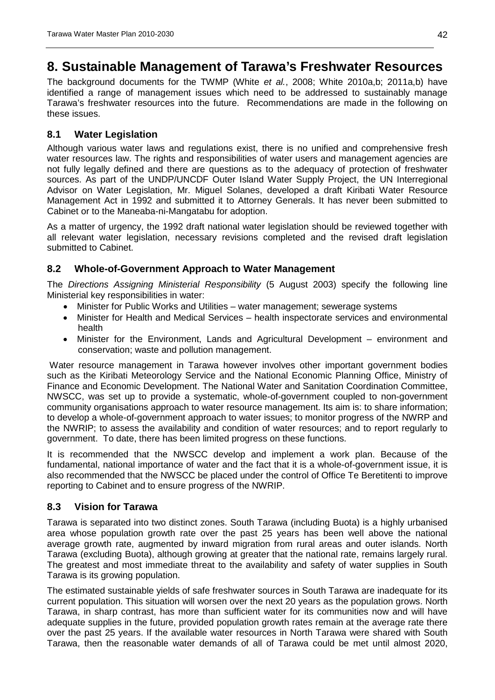## <span id="page-41-0"></span>**8. Sustainable Management of Tarawa's Freshwater Resources**

The background documents for the TWMP (White *et al.*, 2008; White 2010a,b; 2011a,b) have identified a range of management issues which need to be addressed to sustainably manage Tarawa's freshwater resources into the future. Recommendations are made in the following on these issues.

#### <span id="page-41-1"></span>**8.1 Water Legislation**

Although various water laws and regulations exist, there is no unified and comprehensive fresh water resources law. The rights and responsibilities of water users and management agencies are not fully legally defined and there are questions as to the adequacy of protection of freshwater sources. As part of the UNDP/UNCDF Outer Island Water Supply Project, the UN Interregional Advisor on Water Legislation, Mr. Miguel Solanes, developed a draft Kiribati Water Resource Management Act in 1992 and submitted it to Attorney Generals. It has never been submitted to Cabinet or to the Maneaba-ni-Mangatabu for adoption.

As a matter of urgency, the 1992 draft national water legislation should be reviewed together with all relevant water legislation, necessary revisions completed and the revised draft legislation submitted to Cabinet.

### <span id="page-41-2"></span>**8.2 Whole-of-Government Approach to Water Management**

The *Directions Assigning Ministerial Responsibility* (5 August 2003) specify the following line Ministerial key responsibilities in water:

- Minister for Public Works and Utilities water management; sewerage systems
- Minister for Health and Medical Services health inspectorate services and environmental health
- Minister for the Environment, Lands and Agricultural Development environment and conservation; waste and pollution management.

Water resource management in Tarawa however involves other important government bodies such as the Kiribati Meteorology Service and the National Economic Planning Office, Ministry of Finance and Economic Development. The National Water and Sanitation Coordination Committee, NWSCC, was set up to provide a systematic, whole-of-government coupled to non-government community organisations approach to water resource management. Its aim is: to share information; to develop a whole-of-government approach to water issues; to monitor progress of the NWRP and the NWRIP; to assess the availability and condition of water resources; and to report regularly to government. To date, there has been limited progress on these functions.

It is recommended that the NWSCC develop and implement a work plan. Because of the fundamental, national importance of water and the fact that it is a whole-of-government issue, it is also recommended that the NWSCC be placed under the control of Office Te Beretitenti to improve reporting to Cabinet and to ensure progress of the NWRIP.

#### <span id="page-41-3"></span>**8.3 Vision for Tarawa**

Tarawa is separated into two distinct zones. South Tarawa (including Buota) is a highly urbanised area whose population growth rate over the past 25 years has been well above the national average growth rate, augmented by inward migration from rural areas and outer islands. North Tarawa (excluding Buota), although growing at greater that the national rate, remains largely rural. The greatest and most immediate threat to the availability and safety of water supplies in South Tarawa is its growing population.

The estimated sustainable yields of safe freshwater sources in South Tarawa are inadequate for its current population. This situation will worsen over the next 20 years as the population grows. North Tarawa, in sharp contrast, has more than sufficient water for its communities now and will have adequate supplies in the future, provided population growth rates remain at the average rate there over the past 25 years. If the available water resources in North Tarawa were shared with South Tarawa, then the reasonable water demands of all of Tarawa could be met until almost 2020,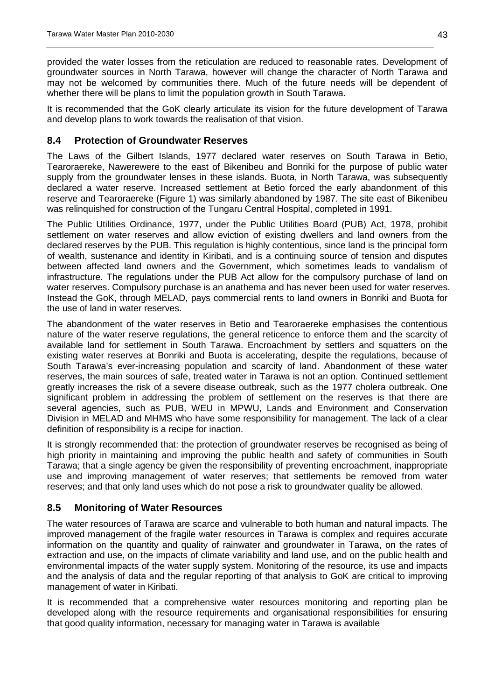provided the water losses from the reticulation are reduced to reasonable rates. Development of groundwater sources in North Tarawa, however will change the character of North Tarawa and may not be welcomed by communities there. Much of the future needs will be dependent of whether there will be plans to limit the population growth in South Tarawa.

It is recommended that the GoK clearly articulate its vision for the future development of Tarawa and develop plans to work towards the realisation of that vision.

#### <span id="page-42-0"></span>**8.4 Protection of Groundwater Reserves**

The Laws of the Gilbert Islands, 1977 declared water reserves on South Tarawa in Betio, Tearoraereke, Nawerewere to the east of Bikenibeu and Bonriki for the purpose of public water supply from the groundwater lenses in these islands. Buota, in North Tarawa, was subsequently declared a water reserve. Increased settlement at Betio forced the early abandonment of this reserve and Tearoraereke (Figure 1) was similarly abandoned by 1987. The site east of Bikenibeu was relinquished for construction of the Tungaru Central Hospital, completed in 1991.

The Public Utilities Ordinance, 1977, under the Public Utilities Board (PUB) Act, 1978, prohibit settlement on water reserves and allow eviction of existing dwellers and land owners from the declared reserves by the PUB. This regulation is highly contentious, since land is the principal form of wealth, sustenance and identity in Kiribati, and is a continuing source of tension and disputes between affected land owners and the Government, which sometimes leads to vandalism of infrastructure. The regulations under the PUB Act allow for the compulsory purchase of land on water reserves. Compulsory purchase is an anathema and has never been used for water reserves. Instead the GoK, through MELAD, pays commercial rents to land owners in Bonriki and Buota for the use of land in water reserves.

The abandonment of the water reserves in Betio and Tearoraereke emphasises the contentious nature of the water reserve regulations, the general reticence to enforce them and the scarcity of available land for settlement in South Tarawa. Encroachment by settlers and squatters on the existing water reserves at Bonriki and Buota is accelerating, despite the regulations, because of South Tarawa's ever-increasing population and scarcity of land. Abandonment of these water reserves, the main sources of safe, treated water in Tarawa is not an option. Continued settlement greatly increases the risk of a severe disease outbreak, such as the 1977 cholera outbreak. One significant problem in addressing the problem of settlement on the reserves is that there are several agencies, such as PUB, WEU in MPWU, Lands and Environment and Conservation Division in MELAD and MHMS who have some responsibility for management. The lack of a clear definition of responsibility is a recipe for inaction.

It is strongly recommended that: the protection of groundwater reserves be recognised as being of high priority in maintaining and improving the public health and safety of communities in South Tarawa; that a single agency be given the responsibility of preventing encroachment, inappropriate use and improving management of water reserves; that settlements be removed from water reserves; and that only land uses which do not pose a risk to groundwater quality be allowed.

#### <span id="page-42-1"></span>**8.5 Monitoring of Water Resources**

The water resources of Tarawa are scarce and vulnerable to both human and natural impacts. The improved management of the fragile water resources in Tarawa is complex and requires accurate information on the quantity and quality of rainwater and groundwater in Tarawa, on the rates of extraction and use, on the impacts of climate variability and land use, and on the public health and environmental impacts of the water supply system. Monitoring of the resource, its use and impacts and the analysis of data and the regular reporting of that analysis to GoK are critical to improving management of water in Kiribati.

It is recommended that a comprehensive water resources monitoring and reporting plan be developed along with the resource requirements and organisational responsibilities for ensuring that good quality information, necessary for managing water in Tarawa is available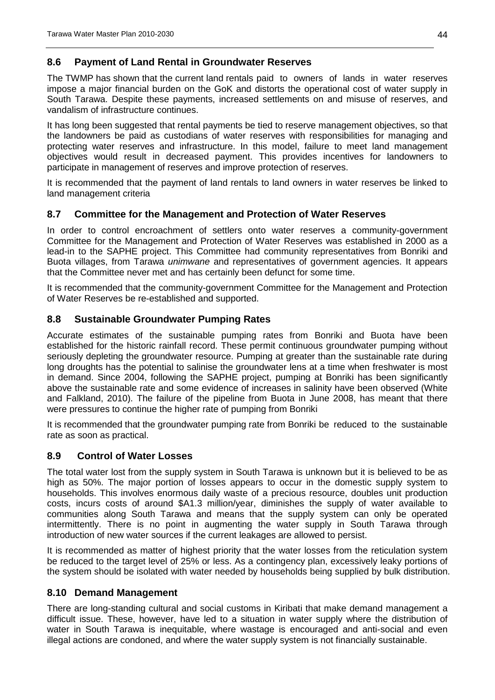### <span id="page-43-0"></span>**8.6 Payment of Land Rental in Groundwater Reserves**

The TWMP has shown that the current land rentals paid to owners of lands in water reserves impose a major financial burden on the GoK and distorts the operational cost of water supply in South Tarawa. Despite these payments, increased settlements on and misuse of reserves, and vandalism of infrastructure continues.

It has long been suggested that rental payments be tied to reserve management objectives, so that the landowners be paid as custodians of water reserves with responsibilities for managing and protecting water reserves and infrastructure. In this model, failure to meet land management objectives would result in decreased payment. This provides incentives for landowners to participate in management of reserves and improve protection of reserves.

It is recommended that the payment of land rentals to land owners in water reserves be linked to land management criteria

### <span id="page-43-1"></span>**8.7 Committee for the Management and Protection of Water Reserves**

In order to control encroachment of settlers onto water reserves a community-government Committee for the Management and Protection of Water Reserves was established in 2000 as a lead-in to the SAPHE project. This Committee had community representatives from Bonriki and Buota villages, from Tarawa *unimwane* and representatives of government agencies. It appears that the Committee never met and has certainly been defunct for some time.

It is recommended that the community-government Committee for the Management and Protection of Water Reserves be re-established and supported.

#### <span id="page-43-2"></span>**8.8 Sustainable Groundwater Pumping Rates**

Accurate estimates of the sustainable pumping rates from Bonriki and Buota have been established for the historic rainfall record. These permit continuous groundwater pumping without seriously depleting the groundwater resource. Pumping at greater than the sustainable rate during long droughts has the potential to salinise the groundwater lens at a time when freshwater is most in demand. Since 2004, following the SAPHE project, pumping at Bonriki has been significantly above the sustainable rate and some evidence of increases in salinity have been observed (White and Falkland, 2010). The failure of the pipeline from Buota in June 2008, has meant that there were pressures to continue the higher rate of pumping from Bonriki

It is recommended that the groundwater pumping rate from Bonriki be reduced to the sustainable rate as soon as practical.

#### <span id="page-43-3"></span>**8.9 Control of Water Losses**

The total water lost from the supply system in South Tarawa is unknown but it is believed to be as high as 50%. The major portion of losses appears to occur in the domestic supply system to households. This involves enormous daily waste of a precious resource, doubles unit production costs, incurs costs of around \$A1.3 million/year, diminishes the supply of water available to communities along South Tarawa and means that the supply system can only be operated intermittently. There is no point in augmenting the water supply in South Tarawa through introduction of new water sources if the current leakages are allowed to persist.

It is recommended as matter of highest priority that the water losses from the reticulation system be reduced to the target level of 25% or less. As a contingency plan, excessively leaky portions of the system should be isolated with water needed by households being supplied by bulk distribution.

#### <span id="page-43-4"></span>**8.10 Demand Management**

There are long-standing cultural and social customs in Kiribati that make demand management a difficult issue. These, however, have led to a situation in water supply where the distribution of water in South Tarawa is inequitable, where wastage is encouraged and anti-social and even illegal actions are condoned, and where the water supply system is not financially sustainable.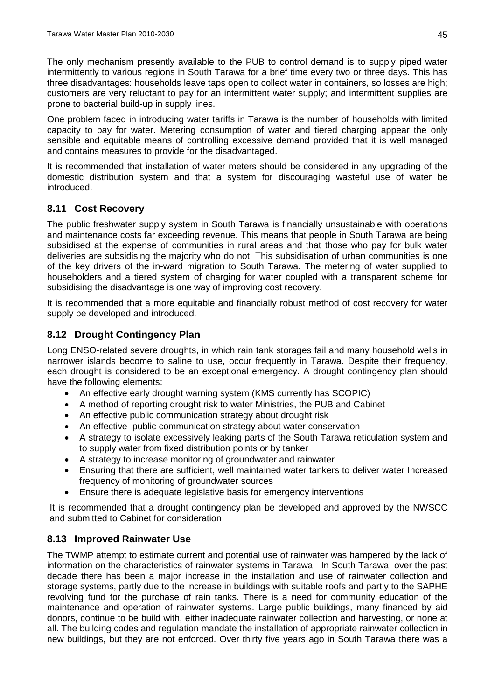The only mechanism presently available to the PUB to control demand is to supply piped water intermittently to various regions in South Tarawa for a brief time every two or three days. This has three disadvantages: households leave taps open to collect water in containers, so losses are high; customers are very reluctant to pay for an intermittent water supply; and intermittent supplies are prone to bacterial build-up in supply lines.

One problem faced in introducing water tariffs in Tarawa is the number of households with limited capacity to pay for water. Metering consumption of water and tiered charging appear the only sensible and equitable means of controlling excessive demand provided that it is well managed and contains measures to provide for the disadvantaged.

It is recommended that installation of water meters should be considered in any upgrading of the domestic distribution system and that a system for discouraging wasteful use of water be introduced.

### <span id="page-44-0"></span>**8.11 Cost Recovery**

The public freshwater supply system in South Tarawa is financially unsustainable with operations and maintenance costs far exceeding revenue. This means that people in South Tarawa are being subsidised at the expense of communities in rural areas and that those who pay for bulk water deliveries are subsidising the majority who do not. This subsidisation of urban communities is one of the key drivers of the in-ward migration to South Tarawa. The metering of water supplied to householders and a tiered system of charging for water coupled with a transparent scheme for subsidising the disadvantage is one way of improving cost recovery.

It is recommended that a more equitable and financially robust method of cost recovery for water supply be developed and introduced.

### <span id="page-44-1"></span>**8.12 Drought Contingency Plan**

Long ENSO-related severe droughts, in which rain tank storages fail and many household wells in narrower islands become to saline to use, occur frequently in Tarawa. Despite their frequency, each drought is considered to be an exceptional emergency. A drought contingency plan should have the following elements:

- An effective early drought warning system (KMS currently has SCOPIC)
- A method of reporting drought risk to water Ministries, the PUB and Cabinet
- An effective public communication strategy about drought risk
- An effective public communication strategy about water conservation
- A strategy to isolate excessively leaking parts of the South Tarawa reticulation system and to supply water from fixed distribution points or by tanker
- A strategy to increase monitoring of groundwater and rainwater
- Ensuring that there are sufficient, well maintained water tankers to deliver water Increased frequency of monitoring of groundwater sources
- Ensure there is adequate legislative basis for emergency interventions

It is recommended that a drought contingency plan be developed and approved by the NWSCC and submitted to Cabinet for consideration

#### <span id="page-44-2"></span>**8.13 Improved Rainwater Use**

The TWMP attempt to estimate current and potential use of rainwater was hampered by the lack of information on the characteristics of rainwater systems in Tarawa. In South Tarawa, over the past decade there has been a major increase in the installation and use of rainwater collection and storage systems, partly due to the increase in buildings with suitable roofs and partly to the SAPHE revolving fund for the purchase of rain tanks. There is a need for community education of the maintenance and operation of rainwater systems. Large public buildings, many financed by aid donors, continue to be build with, either inadequate rainwater collection and harvesting, or none at all. The building codes and regulation mandate the installation of appropriate rainwater collection in new buildings, but they are not enforced. Over thirty five years ago in South Tarawa there was a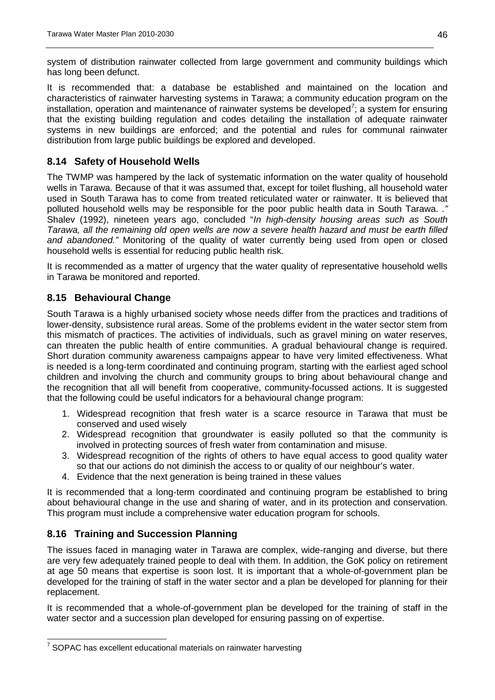system of distribution rainwater collected from large government and community buildings which has long been defunct.

It is recommended that: a database be established and maintained on the location and characteristics of rainwater harvesting systems in Tarawa; a community education program on the installation, operation and maintenance of rainwater systems be developed<sup>[7](#page-45-3)</sup>; a system for ensuring that the existing building regulation and codes detailing the installation of adequate rainwater systems in new buildings are enforced; and the potential and rules for communal rainwater distribution from large public buildings be explored and developed.

### <span id="page-45-0"></span>**8.14 Safety of Household Wells**

The TWMP was hampered by the lack of systematic information on the water quality of household wells in Tarawa. Because of that it was assumed that, except for toilet flushing, all household water used in South Tarawa has to come from treated reticulated water or rainwater. It is believed that polluted household wells may be responsible for the poor public health data in South Tarawa. *."*  Shalev (1992), nineteen years ago, concluded "*In high-density housing areas such as South Tarawa, all the remaining old open wells are now a severe health hazard and must be earth filled and abandoned."* Monitoring of the quality of water currently being used from open or closed household wells is essential for reducing public health risk.

It is recommended as a matter of urgency that the water quality of representative household wells in Tarawa be monitored and reported.

### <span id="page-45-1"></span>**8.15 Behavioural Change**

South Tarawa is a highly urbanised society whose needs differ from the practices and traditions of lower-density, subsistence rural areas. Some of the problems evident in the water sector stem from this mismatch of practices. The activities of individuals, such as gravel mining on water reserves, can threaten the public health of entire communities. A gradual behavioural change is required. Short duration community awareness campaigns appear to have very limited effectiveness. What is needed is a long-term coordinated and continuing program, starting with the earliest aged school children and involving the church and community groups to bring about behavioural change and the recognition that all will benefit from cooperative, community-focussed actions. It is suggested that the following could be useful indicators for a behavioural change program:

- 1. Widespread recognition that fresh water is a scarce resource in Tarawa that must be conserved and used wisely
- 2. Widespread recognition that groundwater is easily polluted so that the community is involved in protecting sources of fresh water from contamination and misuse.
- 3. Widespread recognition of the rights of others to have equal access to good quality water so that our actions do not diminish the access to or quality of our neighbour's water.
- 4. Evidence that the next generation is being trained in these values

It is recommended that a long-term coordinated and continuing program be established to bring about behavioural change in the use and sharing of water, and in its protection and conservation. This program must include a comprehensive water education program for schools.

#### <span id="page-45-2"></span>**8.16 Training and Succession Planning**

The issues faced in managing water in Tarawa are complex, wide-ranging and diverse, but there are very few adequately trained people to deal with them. In addition, the GoK policy on retirement at age 50 means that expertise is soon lost. It is important that a whole-of-government plan be developed for the training of staff in the water sector and a plan be developed for planning for their replacement.

It is recommended that a whole-of-government plan be developed for the training of staff in the water sector and a succession plan developed for ensuring passing on of expertise.

<span id="page-45-3"></span> $7$  SOPAC has excellent educational materials on rainwater harvesting  $\overline{a}$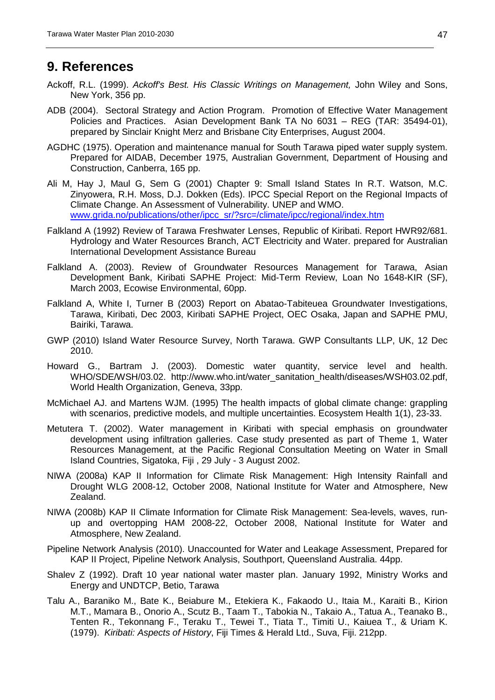## <span id="page-46-0"></span>**9. References**

- Ackoff, R.L. (1999). *Ackoff's Best. His Classic Writings on Management,* John Wiley and Sons, New York, 356 pp.
- ADB (2004). Sectoral Strategy and Action Program. Promotion of Effective Water Management Policies and Practices. Asian Development Bank TA No 6031 – REG (TAR: 35494-01), prepared by Sinclair Knight Merz and Brisbane City Enterprises, August 2004.
- AGDHC (1975). Operation and maintenance manual for South Tarawa piped water supply system. Prepared for AIDAB, December 1975, Australian Government, Department of Housing and Construction, Canberra, 165 pp.
- Ali M, Hay J, Maul G, Sem G (2001) Chapter 9: Small Island States In R.T. Watson, M.C. Zinyowera, R.H. Moss, D.J. Dokken (Eds). IPCC Special Report on the Regional Impacts of Climate Change. An Assessment of Vulnerability. UNEP and WMO. [www.grida.no/publications/other/ipcc\\_sr/?src=/climate/ipcc/regional/index.htm](http://www.grida.no/publications/other/ipcc_sr/?src=/climate/ipcc/regional/index.htm)
- Falkland A (1992) Review of Tarawa Freshwater Lenses, Republic of Kiribati. Report HWR92/681. Hydrology and Water Resources Branch, ACT Electricity and Water. prepared for Australian International Development Assistance Bureau
- Falkland A. (2003). Review of Groundwater Resources Management for Tarawa, Asian Development Bank, Kiribati SAPHE Project: Mid-Term Review, Loan No 1648-KIR (SF), March 2003, Ecowise Environmental, 60pp.
- Falkland A, White I, Turner B (2003) Report on Abatao-Tabiteuea Groundwater Investigations, Tarawa, Kiribati, Dec 2003, Kiribati SAPHE Project, OEC Osaka, Japan and SAPHE PMU, Bairiki, Tarawa.
- GWP (2010) Island Water Resource Survey, North Tarawa. GWP Consultants LLP, UK, 12 Dec 2010.
- Howard G., Bartram J. (2003). Domestic water quantity, service level and health. WHO/SDE/WSH/03.02. http://www.who.int/water\_sanitation\_health/diseases/WSH03.02.pdf, World Health Organization, Geneva, 33pp.
- McMichael AJ. and Martens WJM. (1995) The health impacts of global climate change: grappling with scenarios, predictive models, and multiple uncertainties. Ecosystem Health 1(1), 23-33.
- Metutera T. (2002). Water management in Kiribati with special emphasis on groundwater development using infiltration galleries. Case study presented as part of Theme 1, Water Resources Management, at the Pacific Regional Consultation Meeting on Water in Small Island Countries, Sigatoka, Fiji , 29 July - 3 August 2002.
- NIWA (2008a) KAP II Information for Climate Risk Management: High Intensity Rainfall and Drought WLG 2008-12, October 2008, National Institute for Water and Atmosphere, New Zealand.
- NIWA (2008b) KAP II Climate Information for Climate Risk Management: Sea-levels, waves, runup and overtopping HAM 2008-22, October 2008, National Institute for Water and Atmosphere, New Zealand.
- Pipeline Network Analysis (2010). Unaccounted for Water and Leakage Assessment, Prepared for KAP II Project, Pipeline Network Analysis, Southport, Queensland Australia. 44pp.
- Shalev Z (1992). Draft 10 year national water master plan. January 1992, Ministry Works and Energy and UNDTCP, Betio, Tarawa
- Talu A., Baraniko M., Bate K., Beiabure M., Etekiera K., Fakaodo U., Itaia M., Karaiti B., Kirion M.T., Mamara B., Onorio A., Scutz B., Taam T., Tabokia N., Takaio A., Tatua A., Teanako B., Tenten R., Tekonnang F., Teraku T., Tewei T., Tiata T., Timiti U., Kaiuea T., & Uriam K. (1979). *Kiribati: Aspects of History*, Fiji Times & Herald Ltd., Suva, Fiji. 212pp.